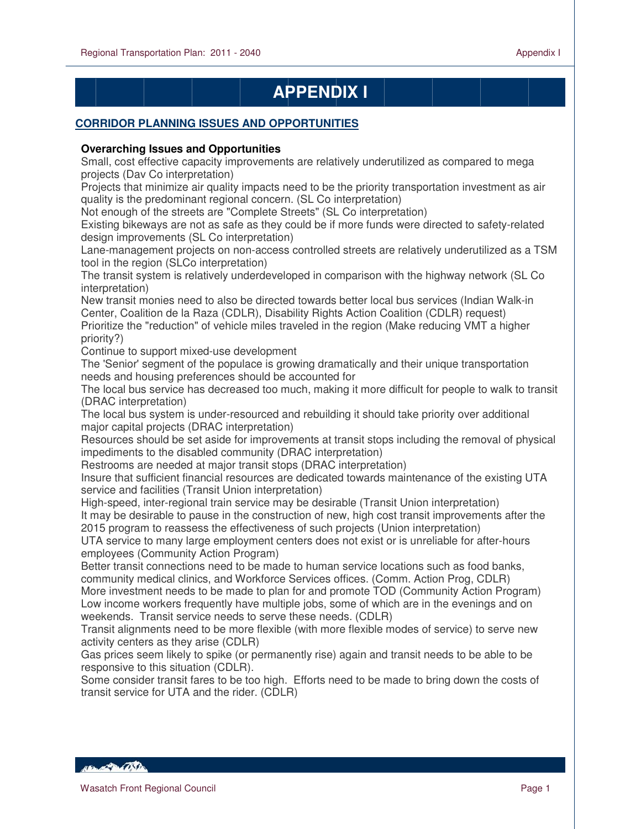# **APPENDIX I**

## **CORRIDOR PLANNING ISSUES AND OPPORTUNITIES**

## **Overarching Issues and Opportunities**

Small, cost effective capacity improvements are relatively underutilized as compared to mega projects (Dav Co interpretation)

Projects that minimize air quality impacts need to be the priority transportation investment as air quality is the predominant regional concern. (SL Co interpretation)

Not enough of the streets are "Complete Streets" (SL Co interpretation)

Existing bikeways are not as safe as they could be if more funds were directed to safety-related design improvements (SL Co interpretation)

Lane-management projects on non-access controlled streets are relatively underutilized as a TSM tool in the region (SLCo interpretation)

The transit system is relatively underdeveloped in comparison with the highway network (SL Co interpretation)

New transit monies need to also be directed towards better local bus services (Indian Walk-in Center, Coalition de la Raza (CDLR), Disability Rights Action Coalition (CDLR) request)

Prioritize the "reduction" of vehicle miles traveled in the region (Make reducing VMT a higher priority?)

Continue to support mixed-use development

The 'Senior' segment of the populace is growing dramatically and their unique transportation needs and housing preferences should be accounted for

The local bus service has decreased too much, making it more difficult for people to walk to transit (DRAC interpretation)

The local bus system is under-resourced and rebuilding it should take priority over additional major capital projects (DRAC interpretation)

Resources should be set aside for improvements at transit stops including the removal of physical impediments to the disabled community (DRAC interpretation)

Restrooms are needed at major transit stops (DRAC interpretation)

Insure that sufficient financial resources are dedicated towards maintenance of the existing UTA service and facilities (Transit Union interpretation)

High-speed, inter-regional train service may be desirable (Transit Union interpretation) It may be desirable to pause in the construction of new, high cost transit improvements after the 2015 program to reassess the effectiveness of such projects (Union interpretation)

UTA service to many large employment centers does not exist or is unreliable for after-hours employees (Community Action Program)

Better transit connections need to be made to human service locations such as food banks, community medical clinics, and Workforce Services offices. (Comm. Action Prog, CDLR) More investment needs to be made to plan for and promote TOD (Community Action Program) Low income workers frequently have multiple jobs, some of which are in the evenings and on weekends. Transit service needs to serve these needs. (CDLR)

Transit alignments need to be more flexible (with more flexible modes of service) to serve new activity centers as they arise (CDLR)

Gas prices seem likely to spike (or permanently rise) again and transit needs to be able to be responsive to this situation (CDLR).

Some consider transit fares to be too high. Efforts need to be made to bring down the costs of transit service for UTA and the rider. (CDLR)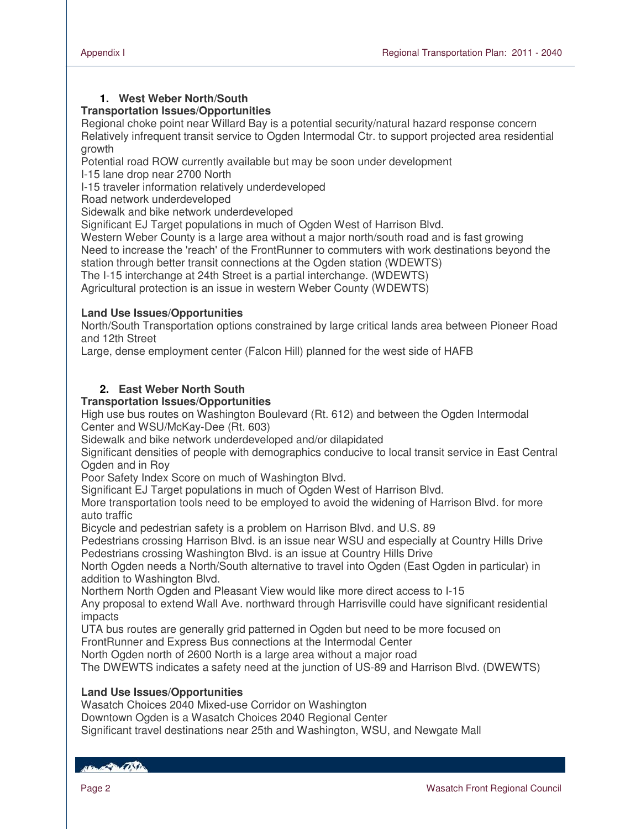## **1. West Weber North/South**

## **Transportation Issues/Opportunities**

Regional choke point near Willard Bay is a potential security/natural hazard response concern Relatively infrequent transit service to Ogden Intermodal Ctr. to support projected area residential growth

Potential road ROW currently available but may be soon under development

I-15 lane drop near 2700 North

I-15 traveler information relatively underdeveloped

Road network underdeveloped

Sidewalk and bike network underdeveloped

Significant EJ Target populations in much of Ogden West of Harrison Blvd.

Western Weber County is a large area without a major north/south road and is fast growing

Need to increase the 'reach' of the FrontRunner to commuters with work destinations beyond the station through better transit connections at the Ogden station (WDEWTS)

The I-15 interchange at 24th Street is a partial interchange. (WDEWTS)

Agricultural protection is an issue in western Weber County (WDEWTS)

## **Land Use Issues/Opportunities**

North/South Transportation options constrained by large critical lands area between Pioneer Road and 12th Street

Large, dense employment center (Falcon Hill) planned for the west side of HAFB

## **2. East Weber North South**

## **Transportation Issues/Opportunities**

High use bus routes on Washington Boulevard (Rt. 612) and between the Ogden Intermodal Center and WSU/McKay-Dee (Rt. 603)

Sidewalk and bike network underdeveloped and/or dilapidated

Significant densities of people with demographics conducive to local transit service in East Central Ogden and in Roy

Poor Safety Index Score on much of Washington Blvd.

Significant EJ Target populations in much of Ogden West of Harrison Blvd.

More transportation tools need to be employed to avoid the widening of Harrison Blvd. for more auto traffic

Bicycle and pedestrian safety is a problem on Harrison Blvd. and U.S. 89

Pedestrians crossing Harrison Blvd. is an issue near WSU and especially at Country Hills Drive Pedestrians crossing Washington Blvd. is an issue at Country Hills Drive

North Ogden needs a North/South alternative to travel into Ogden (East Ogden in particular) in addition to Washington Blvd.

Northern North Ogden and Pleasant View would like more direct access to I-15

Any proposal to extend Wall Ave. northward through Harrisville could have significant residential impacts

UTA bus routes are generally grid patterned in Ogden but need to be more focused on

FrontRunner and Express Bus connections at the Intermodal Center

North Ogden north of 2600 North is a large area without a major road

The DWEWTS indicates a safety need at the junction of US-89 and Harrison Blvd. (DWEWTS)

## **Land Use Issues/Opportunities**

Wasatch Choices 2040 Mixed-use Corridor on Washington Downtown Ogden is a Wasatch Choices 2040 Regional Center Significant travel destinations near 25th and Washington, WSU, and Newgate Mall

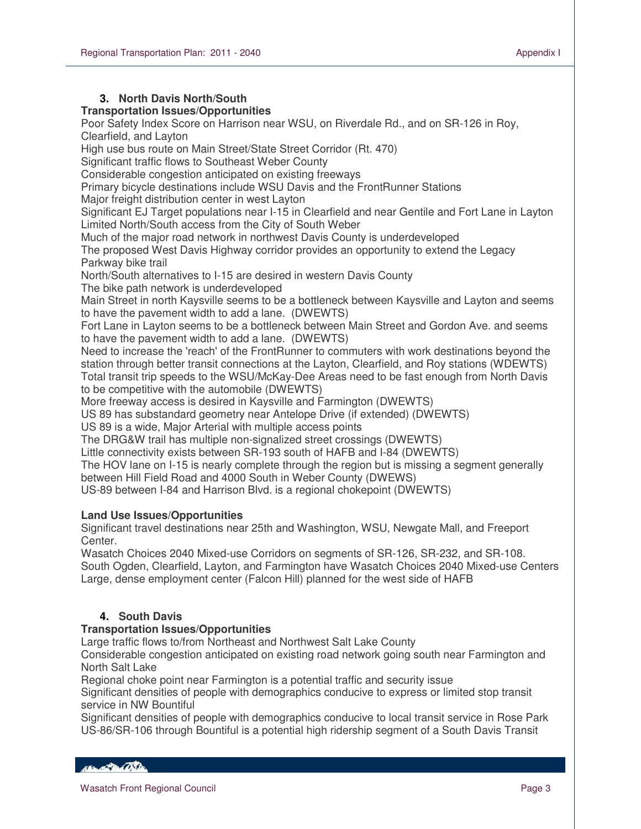## **3. North Davis North/South**

## **Transportation Issues/Opportunities**

Poor Safety Index Score on Harrison near WSU, on Riverdale Rd., and on SR-126 in Roy, Clearfield, and Layton

High use bus route on Main Street/State Street Corridor (Rt. 470)

Significant traffic flows to Southeast Weber County

Considerable congestion anticipated on existing freeways

Primary bicycle destinations include WSU Davis and the FrontRunner Stations

Major freight distribution center in west Layton

Significant EJ Target populations near I-15 in Clearfield and near Gentile and Fort Lane in Layton Limited North/South access from the City of South Weber

Much of the major road network in northwest Davis County is underdeveloped

The proposed West Davis Highway corridor provides an opportunity to extend the Legacy Parkway bike trail

North/South alternatives to I-15 are desired in western Davis County

The bike path network is underdeveloped

Main Street in north Kaysville seems to be a bottleneck between Kaysville and Layton and seems to have the pavement width to add a lane. (DWEWTS)

Fort Lane in Layton seems to be a bottleneck between Main Street and Gordon Ave. and seems to have the pavement width to add a lane. (DWEWTS)

Need to increase the 'reach' of the FrontRunner to commuters with work destinations beyond the station through better transit connections at the Layton, Clearfield, and Roy stations (WDEWTS) Total transit trip speeds to the WSU/McKay-Dee Areas need to be fast enough from North Davis to be competitive with the automobile (DWEWTS)

More freeway access is desired in Kaysville and Farmington (DWEWTS)

US 89 has substandard geometry near Antelope Drive (if extended) (DWEWTS)

US 89 is a wide, Major Arterial with multiple access points

The DRG&W trail has multiple non-signalized street crossings (DWEWTS)

Little connectivity exists between SR-193 south of HAFB and I-84 (DWEWTS)

The HOV lane on I-15 is nearly complete through the region but is missing a segment generally between Hill Field Road and 4000 South in Weber County (DWEWS)

US-89 between I-84 and Harrison Blvd. is a regional chokepoint (DWEWTS)

## **Land Use Issues/Opportunities**

Significant travel destinations near 25th and Washington, WSU, Newgate Mall, and Freeport Center.

Wasatch Choices 2040 Mixed-use Corridors on segments of SR-126, SR-232, and SR-108. South Ogden, Clearfield, Layton, and Farmington have Wasatch Choices 2040 Mixed-use Centers Large, dense employment center (Falcon Hill) planned for the west side of HAFB

## **4. South Davis**

## **Transportation Issues/Opportunities**

Large traffic flows to/from Northeast and Northwest Salt Lake County

Considerable congestion anticipated on existing road network going south near Farmington and North Salt Lake

Regional choke point near Farmington is a potential traffic and security issue

Significant densities of people with demographics conducive to express or limited stop transit service in NW Bountiful

Significant densities of people with demographics conducive to local transit service in Rose Park US-86/SR-106 through Bountiful is a potential high ridership segment of a South Davis Transit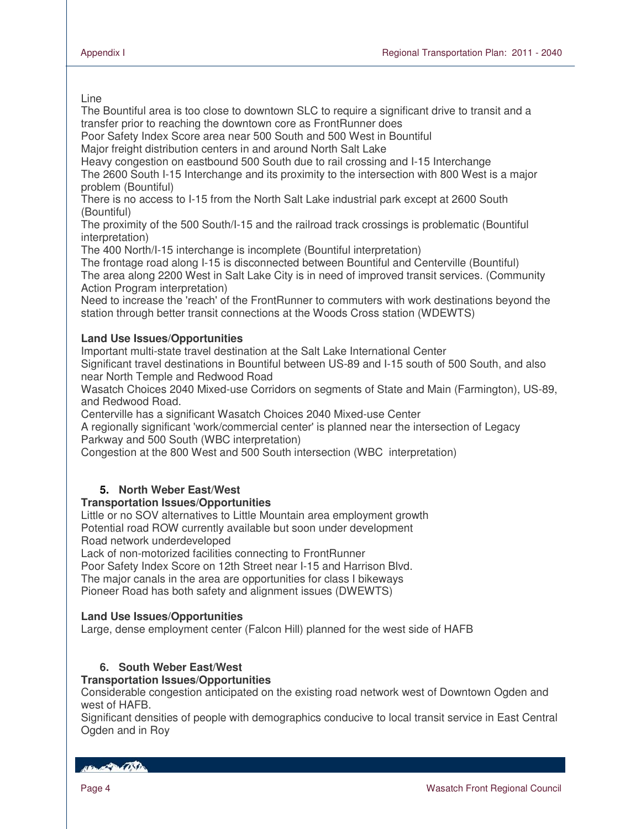#### Line

L

The Bountiful area is too close to downtown SLC to require a significant drive to transit and a transfer prior to reaching the downtown core as FrontRunner does

Poor Safety Index Score area near 500 South and 500 West in Bountiful

Major freight distribution centers in and around North Salt Lake

Heavy congestion on eastbound 500 South due to rail crossing and I-15 Interchange The 2600 South I-15 Interchange and its proximity to the intersection with 800 West is a major problem (Bountiful)

There is no access to I-15 from the North Salt Lake industrial park except at 2600 South (Bountiful)

The proximity of the 500 South/I-15 and the railroad track crossings is problematic (Bountiful interpretation)

The 400 North/I-15 interchange is incomplete (Bountiful interpretation)

The frontage road along I-15 is disconnected between Bountiful and Centerville (Bountiful) The area along 2200 West in Salt Lake City is in need of improved transit services. (Community Action Program interpretation)

Need to increase the 'reach' of the FrontRunner to commuters with work destinations beyond the station through better transit connections at the Woods Cross station (WDEWTS)

## **Land Use Issues/Opportunities**

Important multi-state travel destination at the Salt Lake International Center

Significant travel destinations in Bountiful between US-89 and I-15 south of 500 South, and also near North Temple and Redwood Road

Wasatch Choices 2040 Mixed-use Corridors on segments of State and Main (Farmington), US-89, and Redwood Road.

Centerville has a significant Wasatch Choices 2040 Mixed-use Center

A regionally significant 'work/commercial center' is planned near the intersection of Legacy Parkway and 500 South (WBC interpretation)

Congestion at the 800 West and 500 South intersection (WBC interpretation)

## **5. North Weber East/West**

## **Transportation Issues/Opportunities**

Little or no SOV alternatives to Little Mountain area employment growth Potential road ROW currently available but soon under development

Road network underdeveloped

Lack of non-motorized facilities connecting to FrontRunner

Poor Safety Index Score on 12th Street near I-15 and Harrison Blvd.

The major canals in the area are opportunities for class I bikeways

Pioneer Road has both safety and alignment issues (DWEWTS)

## **Land Use Issues/Opportunities**

Large, dense employment center (Falcon Hill) planned for the west side of HAFB

## **6. South Weber East/West**

## **Transportation Issues/Opportunities**

Considerable congestion anticipated on the existing road network west of Downtown Ogden and west of HAFB.

Significant densities of people with demographics conducive to local transit service in East Central Ogden and in Roy

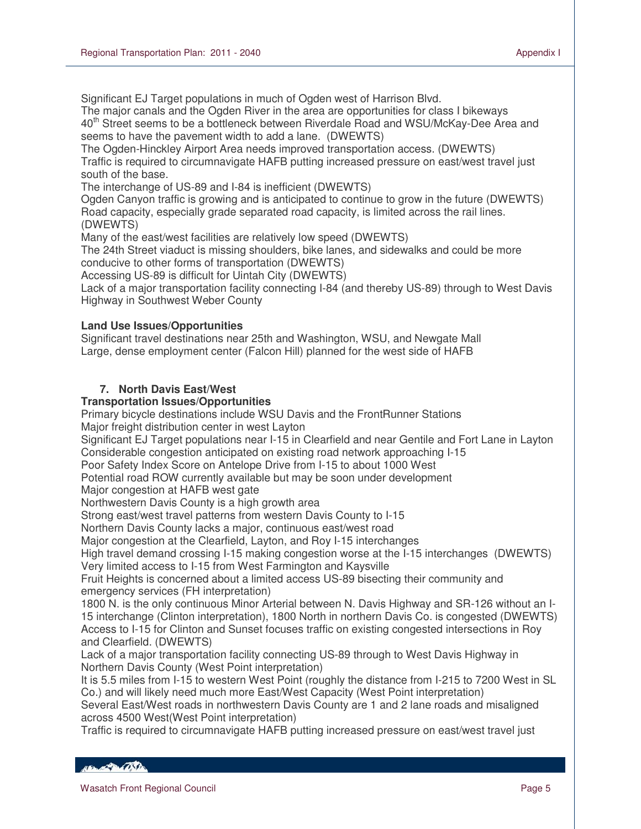Significant EJ Target populations in much of Ogden west of Harrison Blvd.

The major canals and the Ogden River in the area are opportunities for class I bikeways 40<sup>th</sup> Street seems to be a bottleneck between Riverdale Road and WSU/McKay-Dee Area and seems to have the pavement width to add a lane. (DWEWTS)

The Ogden-Hinckley Airport Area needs improved transportation access. (DWEWTS) Traffic is required to circumnavigate HAFB putting increased pressure on east/west travel just south of the base.

The interchange of US-89 and I-84 is inefficient (DWEWTS)

Ogden Canyon traffic is growing and is anticipated to continue to grow in the future (DWEWTS) Road capacity, especially grade separated road capacity, is limited across the rail lines. (DWEWTS)

Many of the east/west facilities are relatively low speed (DWEWTS)

The 24th Street viaduct is missing shoulders, bike lanes, and sidewalks and could be more conducive to other forms of transportation (DWEWTS)

Accessing US-89 is difficult for Uintah City (DWEWTS)

Lack of a major transportation facility connecting I-84 (and thereby US-89) through to West Davis Highway in Southwest Weber County

## **Land Use Issues/Opportunities**

Significant travel destinations near 25th and Washington, WSU, and Newgate Mall Large, dense employment center (Falcon Hill) planned for the west side of HAFB

## **7. North Davis East/West**

#### **Transportation Issues/Opportunities**

Primary bicycle destinations include WSU Davis and the FrontRunner Stations Major freight distribution center in west Layton

Significant EJ Target populations near I-15 in Clearfield and near Gentile and Fort Lane in Layton Considerable congestion anticipated on existing road network approaching I-15

Poor Safety Index Score on Antelope Drive from I-15 to about 1000 West

Potential road ROW currently available but may be soon under development

Major congestion at HAFB west gate

Northwestern Davis County is a high growth area

Strong east/west travel patterns from western Davis County to I-15

Northern Davis County lacks a major, continuous east/west road

Major congestion at the Clearfield, Layton, and Roy I-15 interchanges

High travel demand crossing I-15 making congestion worse at the I-15 interchanges (DWEWTS)

Very limited access to I-15 from West Farmington and Kaysville

Fruit Heights is concerned about a limited access US-89 bisecting their community and emergency services (FH interpretation)

1800 N. is the only continuous Minor Arterial between N. Davis Highway and SR-126 without an I-15 interchange (Clinton interpretation), 1800 North in northern Davis Co. is congested (DWEWTS) Access to I-15 for Clinton and Sunset focuses traffic on existing congested intersections in Roy and Clearfield. (DWEWTS)

Lack of a major transportation facility connecting US-89 through to West Davis Highway in Northern Davis County (West Point interpretation)

It is 5.5 miles from I-15 to western West Point (roughly the distance from I-215 to 7200 West in SL Co.) and will likely need much more East/West Capacity (West Point interpretation)

Several East/West roads in northwestern Davis County are 1 and 2 lane roads and misaligned across 4500 West(West Point interpretation)

Traffic is required to circumnavigate HAFB putting increased pressure on east/west travel just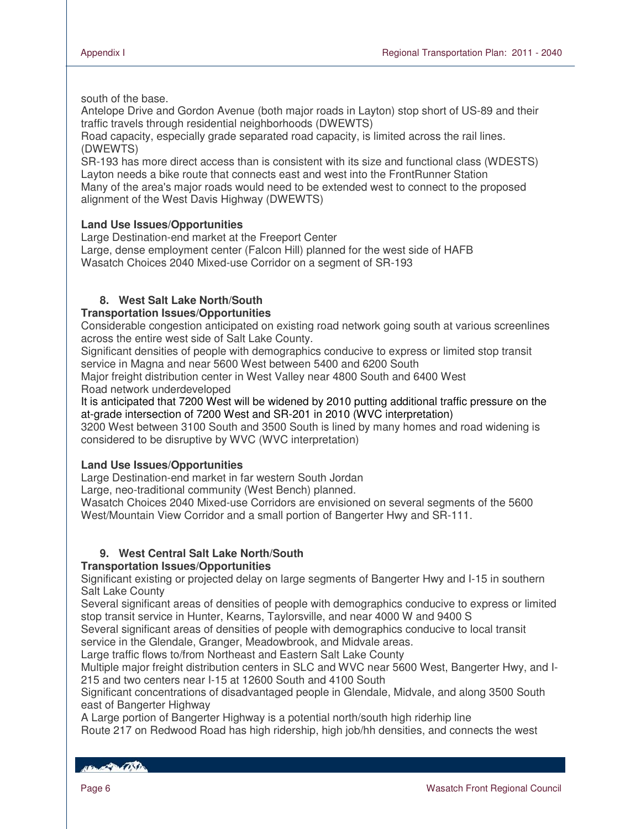south of the base.

Antelope Drive and Gordon Avenue (both major roads in Layton) stop short of US-89 and their traffic travels through residential neighborhoods (DWEWTS)

Road capacity, especially grade separated road capacity, is limited across the rail lines. (DWEWTS)

SR-193 has more direct access than is consistent with its size and functional class (WDESTS) Layton needs a bike route that connects east and west into the FrontRunner Station Many of the area's major roads would need to be extended west to connect to the proposed alignment of the West Davis Highway (DWEWTS)

## **Land Use Issues/Opportunities**

Large Destination-end market at the Freeport Center Large, dense employment center (Falcon Hill) planned for the west side of HAFB Wasatch Choices 2040 Mixed-use Corridor on a segment of SR-193

## **8. West Salt Lake North/South**

## **Transportation Issues/Opportunities**

Considerable congestion anticipated on existing road network going south at various screenlines across the entire west side of Salt Lake County.

Significant densities of people with demographics conducive to express or limited stop transit service in Magna and near 5600 West between 5400 and 6200 South

Major freight distribution center in West Valley near 4800 South and 6400 West Road network underdeveloped

It is anticipated that 7200 West will be widened by 2010 putting additional traffic pressure on the at-grade intersection of 7200 West and SR-201 in 2010 (WVC interpretation)

3200 West between 3100 South and 3500 South is lined by many homes and road widening is considered to be disruptive by WVC (WVC interpretation)

## **Land Use Issues/Opportunities**

Large Destination-end market in far western South Jordan

Large, neo-traditional community (West Bench) planned.

Wasatch Choices 2040 Mixed-use Corridors are envisioned on several segments of the 5600 West/Mountain View Corridor and a small portion of Bangerter Hwy and SR-111.

## **9. West Central Salt Lake North/South**

## **Transportation Issues/Opportunities**

Significant existing or projected delay on large segments of Bangerter Hwy and I-15 in southern Salt Lake County

Several significant areas of densities of people with demographics conducive to express or limited stop transit service in Hunter, Kearns, Taylorsville, and near 4000 W and 9400 S

Several significant areas of densities of people with demographics conducive to local transit service in the Glendale, Granger, Meadowbrook, and Midvale areas.

Large traffic flows to/from Northeast and Eastern Salt Lake County

Multiple major freight distribution centers in SLC and WVC near 5600 West, Bangerter Hwy, and I-215 and two centers near I-15 at 12600 South and 4100 South

Significant concentrations of disadvantaged people in Glendale, Midvale, and along 3500 South east of Bangerter Highway

A Large portion of Bangerter Highway is a potential north/south high riderhip line

Route 217 on Redwood Road has high ridership, high job/hh densities, and connects the west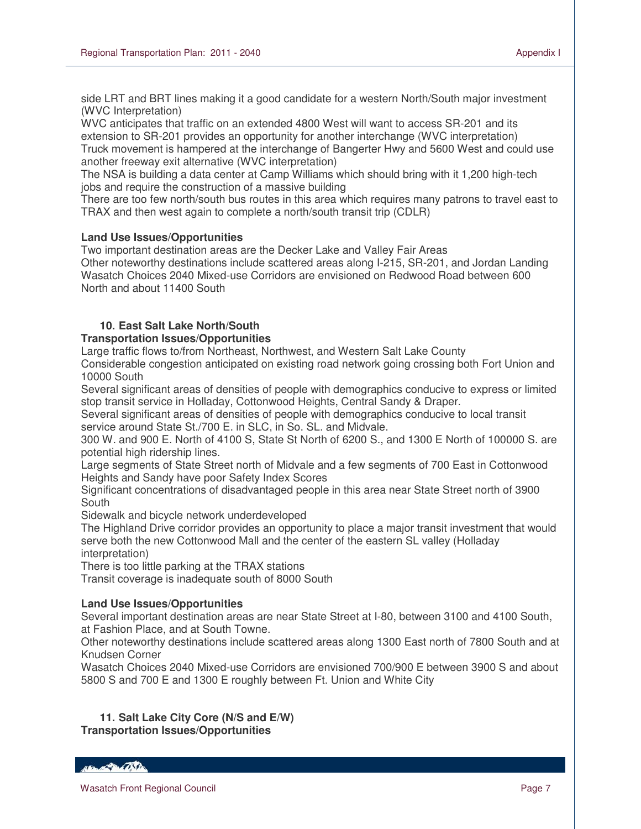side LRT and BRT lines making it a good candidate for a western North/South major investment (WVC Interpretation)

WVC anticipates that traffic on an extended 4800 West will want to access SR-201 and its extension to SR-201 provides an opportunity for another interchange (WVC interpretation) Truck movement is hampered at the interchange of Bangerter Hwy and 5600 West and could use another freeway exit alternative (WVC interpretation)

The NSA is building a data center at Camp Williams which should bring with it 1,200 high-tech jobs and require the construction of a massive building

There are too few north/south bus routes in this area which requires many patrons to travel east to TRAX and then west again to complete a north/south transit trip (CDLR)

#### **Land Use Issues/Opportunities**

Two important destination areas are the Decker Lake and Valley Fair Areas Other noteworthy destinations include scattered areas along I-215, SR-201, and Jordan Landing Wasatch Choices 2040 Mixed-use Corridors are envisioned on Redwood Road between 600 North and about 11400 South

## **10. East Salt Lake North/South**

## **Transportation Issues/Opportunities**

Large traffic flows to/from Northeast, Northwest, and Western Salt Lake County

Considerable congestion anticipated on existing road network going crossing both Fort Union and 10000 South

Several significant areas of densities of people with demographics conducive to express or limited stop transit service in Holladay, Cottonwood Heights, Central Sandy & Draper.

Several significant areas of densities of people with demographics conducive to local transit service around State St./700 E. in SLC, in So. SL. and Midvale.

300 W. and 900 E. North of 4100 S, State St North of 6200 S., and 1300 E North of 100000 S. are potential high ridership lines.

Large segments of State Street north of Midvale and a few segments of 700 East in Cottonwood Heights and Sandy have poor Safety Index Scores

Significant concentrations of disadvantaged people in this area near State Street north of 3900 **South** 

Sidewalk and bicycle network underdeveloped

The Highland Drive corridor provides an opportunity to place a major transit investment that would serve both the new Cottonwood Mall and the center of the eastern SL valley (Holladay interpretation)

There is too little parking at the TRAX stations

Transit coverage is inadequate south of 8000 South

## **Land Use Issues/Opportunities**

Several important destination areas are near State Street at I-80, between 3100 and 4100 South, at Fashion Place, and at South Towne.

Other noteworthy destinations include scattered areas along 1300 East north of 7800 South and at Knudsen Corner

Wasatch Choices 2040 Mixed-use Corridors are envisioned 700/900 E between 3900 S and about 5800 S and 700 E and 1300 E roughly between Ft. Union and White City

**11. Salt Lake City Core (N/S and E/W) Transportation Issues/Opportunities** 

HELL A PORTAL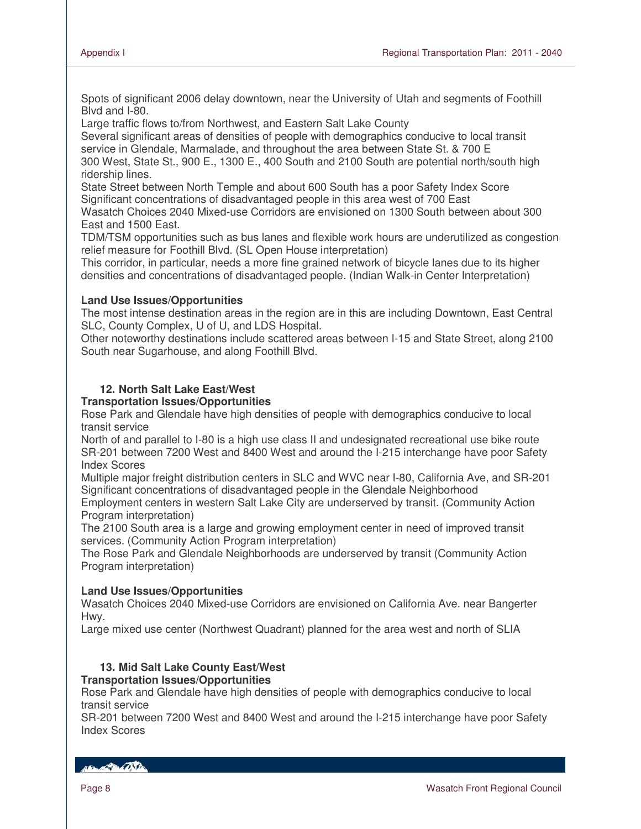Spots of significant 2006 delay downtown, near the University of Utah and segments of Foothill Blvd and I-80.

Large traffic flows to/from Northwest, and Eastern Salt Lake County

Several significant areas of densities of people with demographics conducive to local transit service in Glendale, Marmalade, and throughout the area between State St. & 700 E

300 West, State St., 900 E., 1300 E., 400 South and 2100 South are potential north/south high ridership lines.

State Street between North Temple and about 600 South has a poor Safety Index Score Significant concentrations of disadvantaged people in this area west of 700 East

Wasatch Choices 2040 Mixed-use Corridors are envisioned on 1300 South between about 300 East and 1500 East.

TDM/TSM opportunities such as bus lanes and flexible work hours are underutilized as congestion relief measure for Foothill Blvd. (SL Open House interpretation)

This corridor, in particular, needs a more fine grained network of bicycle lanes due to its higher densities and concentrations of disadvantaged people. (Indian Walk-in Center Interpretation)

#### **Land Use Issues/Opportunities**

The most intense destination areas in the region are in this are including Downtown, East Central SLC, County Complex, U of U, and LDS Hospital.

Other noteworthy destinations include scattered areas between I-15 and State Street, along 2100 South near Sugarhouse, and along Foothill Blvd.

## **12. North Salt Lake East/West**

#### **Transportation Issues/Opportunities**

Rose Park and Glendale have high densities of people with demographics conducive to local transit service

North of and parallel to I-80 is a high use class II and undesignated recreational use bike route SR-201 between 7200 West and 8400 West and around the I-215 interchange have poor Safety Index Scores

Multiple major freight distribution centers in SLC and WVC near I-80, California Ave, and SR-201 Significant concentrations of disadvantaged people in the Glendale Neighborhood

Employment centers in western Salt Lake City are underserved by transit. (Community Action Program interpretation)

The 2100 South area is a large and growing employment center in need of improved transit services. (Community Action Program interpretation)

The Rose Park and Glendale Neighborhoods are underserved by transit (Community Action Program interpretation)

#### **Land Use Issues/Opportunities**

Wasatch Choices 2040 Mixed-use Corridors are envisioned on California Ave. near Bangerter Hwy.

Large mixed use center (Northwest Quadrant) planned for the area west and north of SLIA

## **13. Mid Salt Lake County East/West**

#### **Transportation Issues/Opportunities**

Rose Park and Glendale have high densities of people with demographics conducive to local transit service

SR-201 between 7200 West and 8400 West and around the I-215 interchange have poor Safety Index Scores

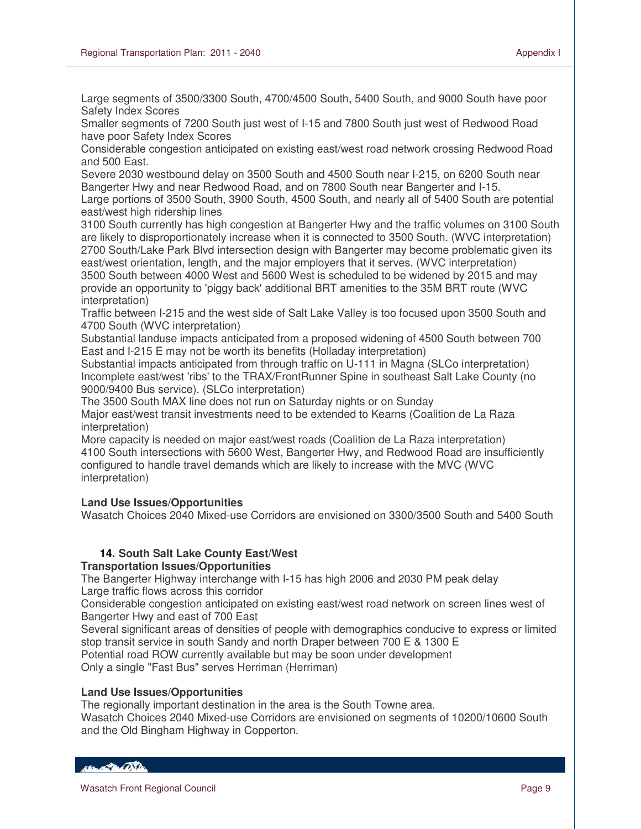Large segments of 3500/3300 South, 4700/4500 South, 5400 South, and 9000 South have poor Safety Index Scores

Smaller segments of 7200 South just west of I-15 and 7800 South just west of Redwood Road have poor Safety Index Scores

Considerable congestion anticipated on existing east/west road network crossing Redwood Road and 500 East.

Severe 2030 westbound delay on 3500 South and 4500 South near I-215, on 6200 South near Bangerter Hwy and near Redwood Road, and on 7800 South near Bangerter and I-15. Large portions of 3500 South, 3900 South, 4500 South, and nearly all of 5400 South are potential east/west high ridership lines

3100 South currently has high congestion at Bangerter Hwy and the traffic volumes on 3100 South are likely to disproportionately increase when it is connected to 3500 South. (WVC interpretation) 2700 South/Lake Park Blvd intersection design with Bangerter may become problematic given its east/west orientation, length, and the major employers that it serves. (WVC interpretation) 3500 South between 4000 West and 5600 West is scheduled to be widened by 2015 and may provide an opportunity to 'piggy back' additional BRT amenities to the 35M BRT route (WVC interpretation)

Traffic between I-215 and the west side of Salt Lake Valley is too focused upon 3500 South and 4700 South (WVC interpretation)

Substantial landuse impacts anticipated from a proposed widening of 4500 South between 700 East and I-215 E may not be worth its benefits (Holladay interpretation)

Substantial impacts anticipated from through traffic on U-111 in Magna (SLCo interpretation) Incomplete east/west 'ribs' to the TRAX/FrontRunner Spine in southeast Salt Lake County (no 9000/9400 Bus service). (SLCo interpretation)

The 3500 South MAX line does not run on Saturday nights or on Sunday

Major east/west transit investments need to be extended to Kearns (Coalition de La Raza interpretation)

More capacity is needed on major east/west roads (Coalition de La Raza interpretation) 4100 South intersections with 5600 West, Bangerter Hwy, and Redwood Road are insufficiently configured to handle travel demands which are likely to increase with the MVC (WVC interpretation)

## **Land Use Issues/Opportunities**

Wasatch Choices 2040 Mixed-use Corridors are envisioned on 3300/3500 South and 5400 South

## **14. South Salt Lake County East/West**

#### **Transportation Issues/Opportunities**

The Bangerter Highway interchange with I-15 has high 2006 and 2030 PM peak delay Large traffic flows across this corridor

Considerable congestion anticipated on existing east/west road network on screen lines west of Bangerter Hwy and east of 700 East

Several significant areas of densities of people with demographics conducive to express or limited stop transit service in south Sandy and north Draper between 700 E & 1300 E Potential road ROW currently available but may be soon under development

Only a single "Fast Bus" serves Herriman (Herriman)

#### **Land Use Issues/Opportunities**

The regionally important destination in the area is the South Towne area.

Wasatch Choices 2040 Mixed-use Corridors are envisioned on segments of 10200/10600 South and the Old Bingham Highway in Copperton.

HELL CONTRACTOR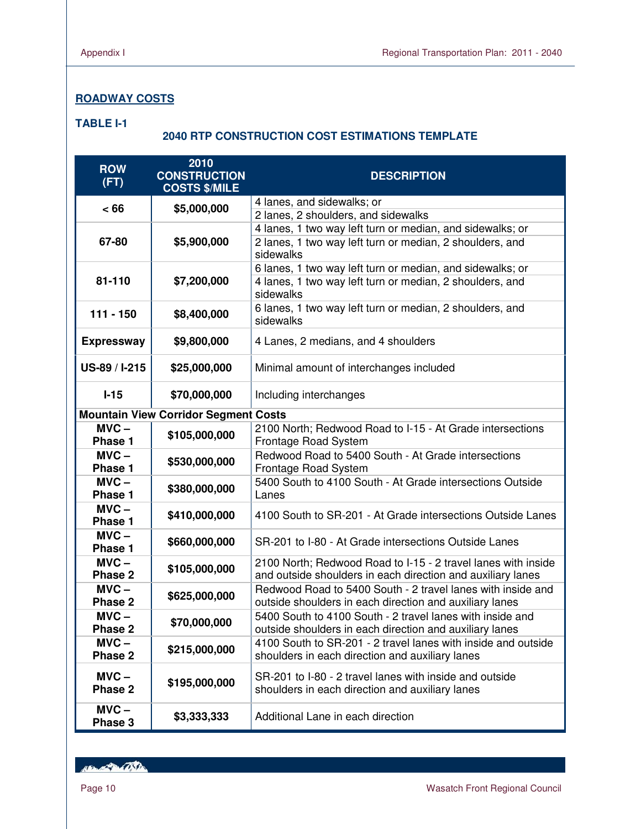## **ROADWAY COSTS**

#### **TABLE I-1**

## **2040 RTP CONSTRUCTION COST ESTIMATIONS TEMPLATE**

| <b>ROW</b><br>(FT) | 2010<br><b>CONSTRUCTION</b><br><b>COSTS \$/MILE</b> | <b>DESCRIPTION</b>                                                                                                           |
|--------------------|-----------------------------------------------------|------------------------------------------------------------------------------------------------------------------------------|
| < 66               | \$5,000,000                                         | 4 lanes, and sidewalks; or                                                                                                   |
|                    |                                                     | 2 lanes, 2 shoulders, and sidewalks                                                                                          |
|                    |                                                     | 4 lanes, 1 two way left turn or median, and sidewalks; or                                                                    |
| 67-80              | \$5,900,000                                         | 2 lanes, 1 two way left turn or median, 2 shoulders, and<br>sidewalks                                                        |
|                    |                                                     | 6 lanes, 1 two way left turn or median, and sidewalks; or                                                                    |
| 81-110             | \$7,200,000                                         | 4 lanes, 1 two way left turn or median, 2 shoulders, and<br>sidewalks                                                        |
| $111 - 150$        | \$8,400,000                                         | 6 lanes, 1 two way left turn or median, 2 shoulders, and<br>sidewalks                                                        |
| <b>Expressway</b>  | \$9,800,000                                         | 4 Lanes, 2 medians, and 4 shoulders                                                                                          |
| US-89 / I-215      | \$25,000,000                                        | Minimal amount of interchanges included                                                                                      |
| $I-15$             | \$70,000,000                                        | Including interchanges                                                                                                       |
|                    | <b>Mountain View Corridor Segment Costs</b>         |                                                                                                                              |
| $MVC -$<br>Phase 1 | \$105,000,000                                       | 2100 North; Redwood Road to I-15 - At Grade intersections<br>Frontage Road System                                            |
| $MVC -$<br>Phase 1 | \$530,000,000                                       | Redwood Road to 5400 South - At Grade intersections<br>Frontage Road System                                                  |
| $MVC -$<br>Phase 1 | \$380,000,000                                       | 5400 South to 4100 South - At Grade intersections Outside<br>Lanes                                                           |
| $MVC -$<br>Phase 1 | \$410,000,000                                       | 4100 South to SR-201 - At Grade intersections Outside Lanes                                                                  |
| $MVC -$<br>Phase 1 | \$660,000,000                                       | SR-201 to I-80 - At Grade intersections Outside Lanes                                                                        |
| $MVC -$<br>Phase 2 | \$105,000,000                                       | 2100 North; Redwood Road to I-15 - 2 travel lanes with inside<br>and outside shoulders in each direction and auxiliary lanes |
| $MVC -$<br>Phase 2 | \$625,000,000                                       | Redwood Road to 5400 South - 2 travel lanes with inside and<br>outside shoulders in each direction and auxiliary lanes       |
| $MVC -$<br>Phase 2 | \$70,000,000                                        | 5400 South to 4100 South - 2 travel lanes with inside and<br>outside shoulders in each direction and auxiliary lanes         |
| $MVC -$<br>Phase 2 | \$215,000,000                                       | 4100 South to SR-201 - 2 travel lanes with inside and outside<br>shoulders in each direction and auxiliary lanes             |
| $MVC -$<br>Phase 2 | \$195,000,000                                       | SR-201 to I-80 - 2 travel lanes with inside and outside<br>shoulders in each direction and auxiliary lanes                   |
| $MVC -$<br>Phase 3 | \$3,333,333                                         | Additional Lane in each direction                                                                                            |

Hand Bally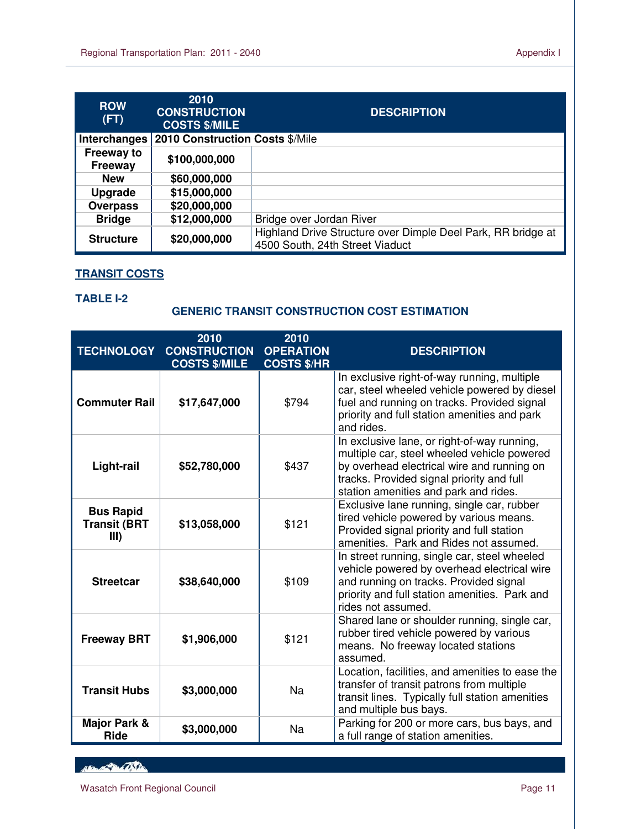| <b>ROW</b><br>(FT)           | 2010<br><b>CONSTRUCTION</b><br><b>COSTS \$/MILE</b> | <b>DESCRIPTION</b>                                                                              |
|------------------------------|-----------------------------------------------------|-------------------------------------------------------------------------------------------------|
| Interchanges                 | 2010 Construction Costs \$/Mile                     |                                                                                                 |
| Freeway to<br><b>Freeway</b> | \$100,000,000                                       |                                                                                                 |
| <b>New</b>                   | \$60,000,000                                        |                                                                                                 |
| <b>Upgrade</b>               | \$15,000,000                                        |                                                                                                 |
| <b>Overpass</b>              | \$20,000,000                                        |                                                                                                 |
| <b>Bridge</b>                | \$12,000,000                                        | Bridge over Jordan River                                                                        |
| <b>Structure</b>             | \$20,000,000                                        | Highland Drive Structure over Dimple Deel Park, RR bridge at<br>4500 South, 24th Street Viaduct |

## **TRANSIT COSTS**

#### **TABLE I-2**

L

## **GENERIC TRANSIT CONSTRUCTION COST ESTIMATION**

| <b>TECHNOLOGY</b>                               | 2010<br><b>CONSTRUCTION</b><br><b>COSTS \$/MILE</b> | 2010<br><b>OPERATION</b><br><b>COSTS \$/HR</b> | <b>DESCRIPTION</b>                                                                                                                                                                                                             |
|-------------------------------------------------|-----------------------------------------------------|------------------------------------------------|--------------------------------------------------------------------------------------------------------------------------------------------------------------------------------------------------------------------------------|
| <b>Commuter Rail</b>                            | \$17,647,000                                        | \$794                                          | In exclusive right-of-way running, multiple<br>car, steel wheeled vehicle powered by diesel<br>fuel and running on tracks. Provided signal<br>priority and full station amenities and park<br>and rides.                       |
| Light-rail                                      | \$52,780,000                                        | \$437                                          | In exclusive lane, or right-of-way running,<br>multiple car, steel wheeled vehicle powered<br>by overhead electrical wire and running on<br>tracks. Provided signal priority and full<br>station amenities and park and rides. |
| <b>Bus Rapid</b><br><b>Transit (BRT</b><br>III) | \$13,058,000                                        | \$121                                          | Exclusive lane running, single car, rubber<br>tired vehicle powered by various means.<br>Provided signal priority and full station<br>amenities. Park and Rides not assumed.                                                   |
| <b>Streetcar</b>                                | \$38,640,000                                        | \$109                                          | In street running, single car, steel wheeled<br>vehicle powered by overhead electrical wire<br>and running on tracks. Provided signal<br>priority and full station amenities. Park and<br>rides not assumed.                   |
| <b>Freeway BRT</b>                              | \$1,906,000                                         | \$121                                          | Shared lane or shoulder running, single car,<br>rubber tired vehicle powered by various<br>means. No freeway located stations<br>assumed.                                                                                      |
| <b>Transit Hubs</b>                             | \$3,000,000                                         | Na                                             | Location, facilities, and amenities to ease the<br>transfer of transit patrons from multiple<br>transit lines. Typically full station amenities<br>and multiple bus bays.                                                      |
| <b>Major Park &amp;</b><br><b>Ride</b>          | \$3,000,000                                         | <b>Na</b>                                      | Parking for 200 or more cars, bus bays, and<br>a full range of station amenities.                                                                                                                                              |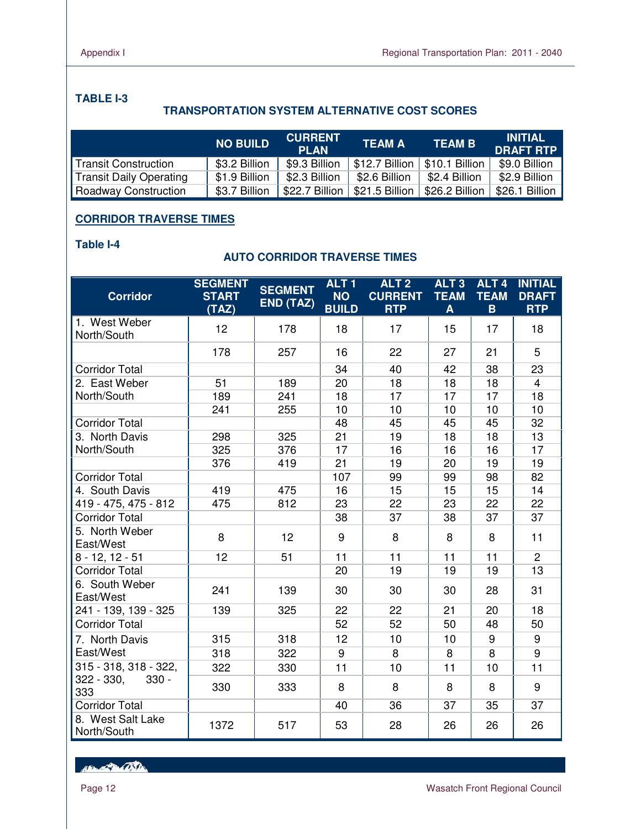## **TABLE I-3**

## **TRANSPORTATION SYSTEM ALTERNATIVE COST SCORES**

|                                | <b>NO BUILD</b> | <b>CURRENT</b><br><b>PLAN</b> | <b>TEAM A</b>                   | <b>TEAM B</b> | <b>INITIAL</b><br><b>DRAFT RTP</b> |
|--------------------------------|-----------------|-------------------------------|---------------------------------|---------------|------------------------------------|
| Transit Construction           | \$3.2 Billion   | \$9.3 Billion                 | \$12.7 Billion   \$10.1 Billion |               | \$9.0 Billion                      |
| <b>Transit Daily Operating</b> | \$1.9 Billion   | \$2.3 Billion                 | \$2.6 Billion                   | \$2.4 Billion | \$2.9 Billion                      |
| Roadway Construction           | \$3.7 Billion   | \$22.7 Billion                | \$21.5 Billion   \$26.2 Billion |               | \$26.1 Billion                     |

## **CORRIDOR TRAVERSE TIMES**

#### **Table I-4**

## **AUTO CORRIDOR TRAVERSE TIMES**

| <b>Corridor</b>                  | <b>SEGMENT</b><br><b>START</b> | <b>SEGMENT</b><br>END (TAZ) | ALT <sub>1</sub><br><b>NO</b> | ALT <sub>2</sub><br><b>CURRENT</b> | ALT <sub>3</sub><br><b>TEAM</b> | ALT <sub>4</sub><br><b>TEAM</b> | <b>INITIAL</b><br><b>DRAFT</b> |
|----------------------------------|--------------------------------|-----------------------------|-------------------------------|------------------------------------|---------------------------------|---------------------------------|--------------------------------|
|                                  | (TAZ)                          |                             | <b>BUILD</b>                  | <b>RTP</b>                         | A                               | $\mathbf{B}$                    | <b>RTP</b>                     |
| 1. West Weber<br>North/South     | 12                             | 178                         | 18                            | 17                                 | 15                              | 17                              | 18                             |
|                                  | 178                            | 257                         | 16                            | 22                                 | 27                              | 21                              | 5                              |
| <b>Corridor Total</b>            |                                |                             | 34                            | 40                                 | 42                              | 38                              | 23                             |
| 2. East Weber                    | 51                             | 189                         | 20                            | 18                                 | 18                              | 18                              | $\overline{4}$                 |
| North/South                      | 189                            | 241                         | 18                            | 17                                 | 17                              | 17                              | 18                             |
|                                  | 241                            | 255                         | 10                            | 10                                 | 10                              | 10                              | 10                             |
| <b>Corridor Total</b>            |                                |                             | 48                            | 45                                 | 45                              | 45                              | 32                             |
| 3. North Davis                   | 298                            | 325                         | $\overline{21}$               | 19                                 | 18                              | 18                              | 13                             |
| North/South                      | 325                            | 376                         | 17                            | 16                                 | 16                              | 16                              | 17                             |
|                                  | 376                            | 419                         | 21                            | 19                                 | 20                              | 19                              | 19                             |
| <b>Corridor Total</b>            |                                |                             | 107                           | 99                                 | 99                              | 98                              | 82                             |
| 4. South Davis                   | 419                            | 475                         | 16                            | 15                                 | 15                              | 15                              | 14                             |
| 419 - 475, 475 - 812             | 475                            | 812                         | 23                            | $\overline{22}$                    | 23                              | 22                              | $\overline{22}$                |
| <b>Corridor Total</b>            |                                |                             | 38                            | 37                                 | 38                              | 37                              | 37                             |
| 5. North Weber<br>East/West      | 8                              | 12                          | 9                             | 8                                  | 8                               | 8                               | 11                             |
| $8 - 12, 12 - 51$                | 12                             | 51                          | 11                            | 11                                 | 11                              | 11                              | $\overline{2}$                 |
| <b>Corridor Total</b>            |                                |                             | 20                            | 19                                 | 19                              | 19                              | 13                             |
| 6. South Weber<br>East/West      | 241                            | 139                         | 30                            | 30                                 | 30                              | 28                              | 31                             |
| 241 - 139, 139 - 325             | 139                            | 325                         | 22                            | 22                                 | 21                              | 20                              | 18                             |
| <b>Corridor Total</b>            |                                |                             | 52                            | 52                                 | 50                              | 48                              | 50                             |
| 7. North Davis                   | 315                            | 318                         | 12                            | 10                                 | 10                              | 9                               | 9                              |
| East/West                        | 318                            | 322                         | 9                             | 8                                  | 8                               | 8                               | 9                              |
| 315 - 318, 318 - 322,            | 322                            | 330                         | 11                            | 10                                 | 11                              | 10                              | 11                             |
| $322 - 330,$<br>$330 -$<br>333   | 330                            | 333                         | 8                             | 8                                  | 8                               | 8                               | 9                              |
| <b>Corridor Total</b>            |                                |                             | 40                            | 36                                 | 37                              | 35                              | 37                             |
| 8. West Salt Lake<br>North/South | 1372                           | 517                         | 53                            | 28                                 | 26                              | 26                              | 26                             |

Her Protector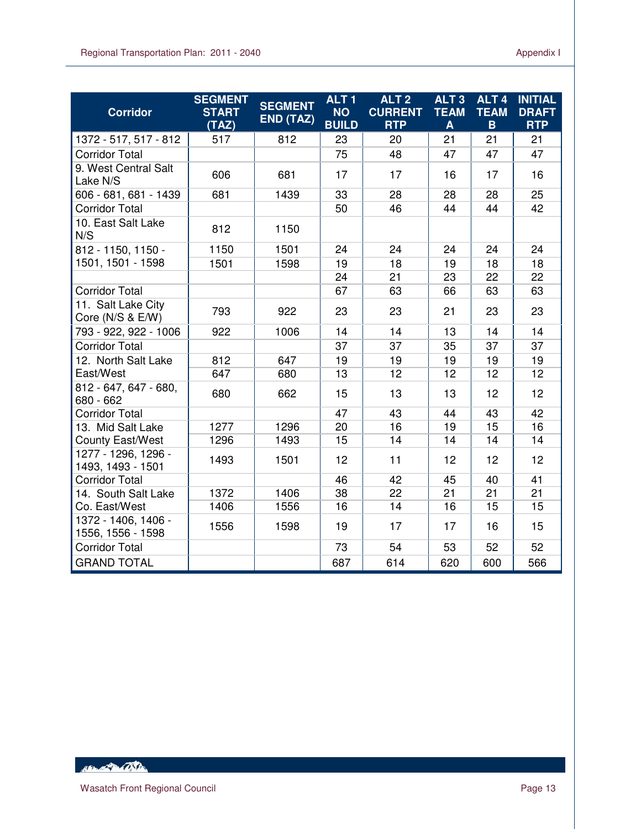| <b>Corridor</b>                          | <b>SEGMENT</b><br><b>START</b><br>(TAZ) | <b>SEGMENT</b><br>END (TAZ) | ALT <sub>1</sub><br><b>NO</b><br><b>BUILD</b> | ALT <sub>2</sub><br><b>CURRENT</b><br><b>RTP</b> | ALT <sub>3</sub><br><b>TEAM</b><br>A | ALT <sub>4</sub><br><b>TEAM</b><br>B | <b>INITIAL</b><br><b>DRAFT</b><br><b>RTP</b> |
|------------------------------------------|-----------------------------------------|-----------------------------|-----------------------------------------------|--------------------------------------------------|--------------------------------------|--------------------------------------|----------------------------------------------|
| 1372 - 517, 517 - 812                    | 517                                     | 812                         | 23                                            | 20                                               | 21                                   | 21                                   | 21                                           |
| <b>Corridor Total</b>                    |                                         |                             | 75                                            | 48                                               | 47                                   | 47                                   | 47                                           |
| 9. West Central Salt<br>Lake N/S         | 606                                     | 681                         | 17                                            | 17                                               | 16                                   | 17                                   | 16                                           |
| 606 - 681, 681 - 1439                    | 681                                     | 1439                        | 33                                            | 28                                               | 28                                   | 28                                   | 25                                           |
| <b>Corridor Total</b>                    |                                         |                             | 50                                            | 46                                               | 44                                   | 44                                   | 42                                           |
| 10. East Salt Lake<br>N/S                | 812                                     | 1150                        |                                               |                                                  |                                      |                                      |                                              |
| 812 - 1150, 1150 -                       | 1150                                    | 1501                        | 24                                            | 24                                               | 24                                   | 24                                   | 24                                           |
| 1501, 1501 - 1598                        | 1501                                    | 1598                        | 19                                            | 18                                               | 19                                   | 18                                   | 18                                           |
|                                          |                                         |                             | 24                                            | 21                                               | 23                                   | 22                                   | 22                                           |
| <b>Corridor Total</b>                    |                                         |                             | 67                                            | 63                                               | 66                                   | 63                                   | 63                                           |
| 11. Salt Lake City<br>Core (N/S & E/W)   | 793                                     | 922                         | 23                                            | 23                                               | 21                                   | 23                                   | 23                                           |
| 793 - 922, 922 - 1006                    | 922                                     | 1006                        | 14                                            | 14                                               | 13                                   | 14                                   | 14                                           |
| <b>Corridor Total</b>                    |                                         |                             | 37                                            | 37                                               | 35                                   | 37                                   | 37                                           |
| 12. North Salt Lake                      | 812                                     | 647                         | 19                                            | 19                                               | 19                                   | 19                                   | 19                                           |
| East/West                                | 647                                     | 680                         | 13                                            | 12                                               | 12                                   | 12                                   | 12                                           |
| 812 - 647, 647 - 680,<br>680 - 662       | 680                                     | 662                         | 15                                            | 13                                               | 13                                   | 12                                   | 12                                           |
| <b>Corridor Total</b>                    |                                         |                             | 47                                            | 43                                               | 44                                   | 43                                   | 42                                           |
| 13. Mid Salt Lake                        | 1277                                    | 1296                        | 20                                            | 16                                               | 19                                   | 15                                   | 16                                           |
| <b>County East/West</b>                  | 1296                                    | 1493                        | 15                                            | 14                                               | 14                                   | 14                                   | 14                                           |
| 1277 - 1296, 1296 -<br>1493, 1493 - 1501 | 1493                                    | 1501                        | 12                                            | 11                                               | 12                                   | 12                                   | 12                                           |
| <b>Corridor Total</b>                    |                                         |                             | 46                                            | 42                                               | 45                                   | 40                                   | 41                                           |
| 14. South Salt Lake                      | 1372                                    | 1406                        | 38                                            | 22                                               | 21                                   | 21                                   | 21                                           |
| Co. East/West                            | 1406                                    | 1556                        | 16                                            | 14                                               | 16                                   | 15                                   | 15                                           |
| 1372 - 1406, 1406 -<br>1556, 1556 - 1598 | 1556                                    | 1598                        | 19                                            | 17                                               | 17                                   | 16                                   | 15                                           |
| <b>Corridor Total</b>                    |                                         |                             | 73                                            | 54                                               | 53                                   | 52                                   | 52                                           |
| <b>GRAND TOTAL</b>                       |                                         |                             | 687                                           | 614                                              | 620                                  | 600                                  | 566                                          |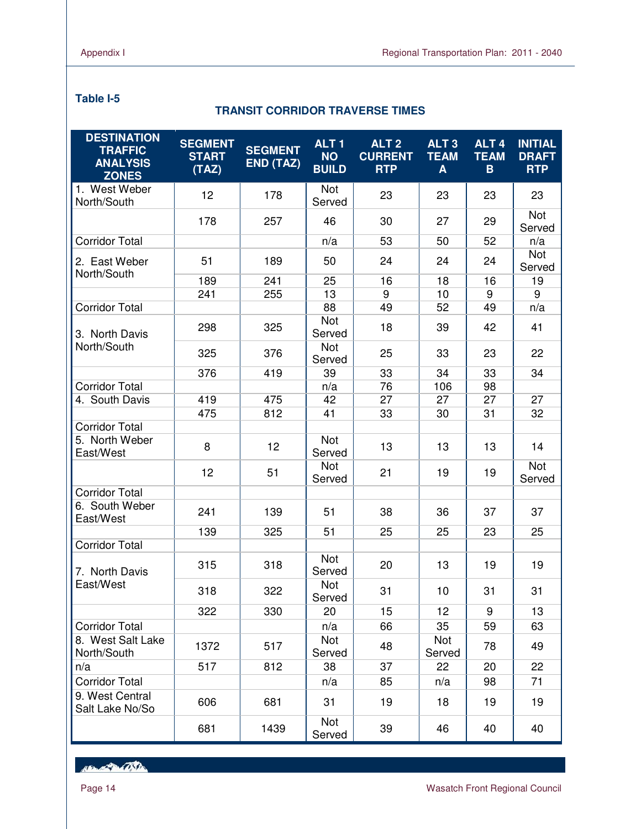## **Table I-5**

L

## **TRANSIT CORRIDOR TRAVERSE TIMES**

| <b>DESTINATION</b><br><b>TRAFFIC</b><br><b>ANALYSIS</b><br><b>ZONES</b> | <b>SEGMENT</b><br><b>START</b><br>(TAZ) | <b>SEGMENT</b><br><b>END (TAZ)</b> | ALT <sub>1</sub><br><b>NO</b><br><b>BUILD</b> | ALT <sub>2</sub><br><b>CURRENT</b><br><b>RTP</b> | ALT <sub>3</sub><br><b>TEAM</b><br>A | ALT <sub>4</sub><br><b>TEAM</b><br>B | <b>INITIAL</b><br><b>DRAFT</b><br><b>RTP</b> |
|-------------------------------------------------------------------------|-----------------------------------------|------------------------------------|-----------------------------------------------|--------------------------------------------------|--------------------------------------|--------------------------------------|----------------------------------------------|
| 1. West Weber<br>North/South                                            | 12                                      | 178                                | Not<br>Served                                 | 23                                               | 23                                   | 23                                   | 23                                           |
|                                                                         | 178                                     | 257                                | 46                                            | 30                                               | 27                                   | 29                                   | Not<br>Served                                |
| <b>Corridor Total</b>                                                   |                                         |                                    | n/a                                           | 53                                               | 50                                   | 52                                   | n/a                                          |
| 2. East Weber<br>North/South                                            | 51                                      | 189                                | 50                                            | 24                                               | 24                                   | 24                                   | Not<br>Served                                |
|                                                                         | 189                                     | 241                                | 25                                            | 16                                               | 18                                   | 16                                   | 19                                           |
|                                                                         | 241                                     | 255                                | 13                                            | 9                                                | 10                                   | 9                                    | 9                                            |
| <b>Corridor Total</b>                                                   |                                         |                                    | 88                                            | 49                                               | 52                                   | 49                                   | n/a                                          |
| 3. North Davis                                                          | 298                                     | 325                                | Not<br>Served                                 | 18                                               | 39                                   | 42                                   | 41                                           |
| North/South                                                             | 325                                     | 376                                | Not<br>Served                                 | 25                                               | 33                                   | 23                                   | 22                                           |
|                                                                         | 376                                     | 419                                | 39                                            | 33                                               | 34                                   | 33                                   | 34                                           |
| <b>Corridor Total</b>                                                   |                                         |                                    | n/a                                           | 76                                               | 106                                  | 98                                   |                                              |
| 4. South Davis                                                          | 419                                     | 475                                | 42                                            | 27                                               | 27                                   | 27                                   | 27                                           |
|                                                                         | 475                                     | 812                                | 41                                            | 33                                               | 30                                   | 31                                   | 32                                           |
| <b>Corridor Total</b>                                                   |                                         |                                    |                                               |                                                  |                                      |                                      |                                              |
| 5. North Weber<br>East/West                                             | 8                                       | 12                                 | <b>Not</b><br>Served                          | 13                                               | 13                                   | 13                                   | 14                                           |
|                                                                         | 12                                      | 51                                 | Not<br>Served                                 | 21                                               | 19                                   | 19                                   | Not<br>Served                                |
| <b>Corridor Total</b>                                                   |                                         |                                    |                                               |                                                  |                                      |                                      |                                              |
| 6. South Weber<br>East/West                                             | 241                                     | 139                                | 51                                            | 38                                               | 36                                   | 37                                   | 37                                           |
|                                                                         | 139                                     | 325                                | 51                                            | 25                                               | 25                                   | 23                                   | 25                                           |
| <b>Corridor Total</b>                                                   |                                         |                                    |                                               |                                                  |                                      |                                      |                                              |
| 7. North Davis                                                          | 315                                     | 318                                | Not<br>Served                                 | 20                                               | 13                                   | 19                                   | 19                                           |
| East/West                                                               | 318                                     | 322                                | Not<br>Served                                 | 31                                               | 10                                   | 31                                   | 31                                           |
|                                                                         | 322                                     | 330                                | 20                                            | 15                                               | 12                                   | 9                                    | 13                                           |
| <b>Corridor Total</b>                                                   |                                         |                                    | n/a                                           | 66                                               | 35                                   | 59                                   | 63                                           |
| 8. West Salt Lake<br>North/South                                        | 1372                                    | 517                                | Not<br>Served                                 | 48                                               | Not<br>Served                        | 78                                   | 49                                           |
| n/a                                                                     | 517                                     | 812                                | 38                                            | 37                                               | 22                                   | 20                                   | 22                                           |
| <b>Corridor Total</b>                                                   |                                         |                                    | n/a                                           | 85                                               | n/a                                  | 98                                   | 71                                           |
| 9. West Central<br>Salt Lake No/So                                      | 606                                     | 681                                | 31                                            | 19                                               | 18                                   | 19                                   | 19                                           |
|                                                                         | 681                                     | 1439                               | Not<br>Served                                 | 39                                               | 46                                   | 40                                   | 40                                           |

Her Protector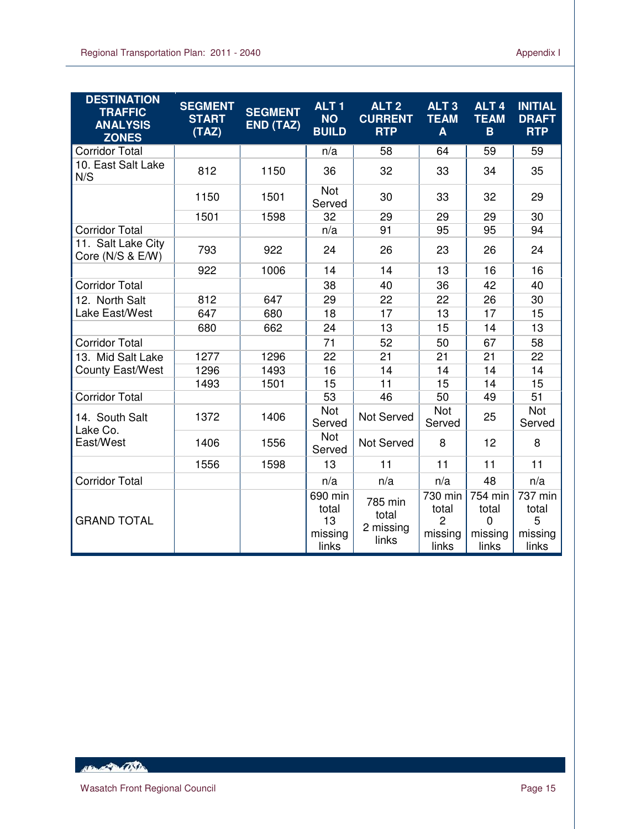| <b>DESTINATION</b><br><b>TRAFFIC</b><br><b>ANALYSIS</b><br><b>ZONES</b> | <b>SEGMENT</b><br><b>START</b><br>(TAZ) | <b>SEGMENT</b><br>END (TAZ) | ALT <sub>1</sub><br><b>NO</b><br><b>BUILD</b> | ALT <sub>2</sub><br><b>CURRENT</b><br><b>RTP</b> | ALT <sub>3</sub><br><b>TEAM</b><br>A                   | ALT <sub>4</sub><br><b>TEAM</b><br>B                | <b>INITIAL</b><br><b>DRAFT</b><br><b>RTP</b> |
|-------------------------------------------------------------------------|-----------------------------------------|-----------------------------|-----------------------------------------------|--------------------------------------------------|--------------------------------------------------------|-----------------------------------------------------|----------------------------------------------|
| <b>Corridor Total</b>                                                   |                                         |                             | n/a                                           | 58                                               | 64                                                     | 59                                                  | 59                                           |
| 10. East Salt Lake<br>N/S                                               | 812                                     | 1150                        | 36                                            | 32                                               | 33                                                     | 34                                                  | 35                                           |
|                                                                         | 1150                                    | 1501                        | <b>Not</b><br>Served                          | 30                                               | 33                                                     | 32                                                  | 29                                           |
|                                                                         | 1501                                    | 1598                        | 32                                            | 29                                               | 29                                                     | 29                                                  | 30                                           |
| <b>Corridor Total</b>                                                   |                                         |                             | n/a                                           | 91                                               | 95                                                     | 95                                                  | 94                                           |
| 11. Salt Lake City<br>Core (N/S & E/W)                                  | 793                                     | 922                         | 24                                            | 26                                               | 23                                                     | 26                                                  | 24                                           |
|                                                                         | 922                                     | 1006                        | 14                                            | 14                                               | 13                                                     | 16                                                  | 16                                           |
| <b>Corridor Total</b>                                                   |                                         |                             | 38                                            | 40                                               | 36                                                     | 42                                                  | 40                                           |
| 12. North Salt                                                          | 812                                     | 647                         | 29                                            | 22                                               | 22                                                     | 26                                                  | 30                                           |
| Lake East/West                                                          | 647                                     | 680                         | 18                                            | 17                                               | 13                                                     | 17                                                  | 15                                           |
|                                                                         | 680                                     | 662                         | 24                                            | 13                                               | 15                                                     | 14                                                  | 13                                           |
| <b>Corridor Total</b>                                                   |                                         |                             | 71                                            | 52                                               | 50                                                     | 67                                                  | 58                                           |
| 13. Mid Salt Lake                                                       | 1277                                    | 1296                        | 22                                            | 21                                               | 21                                                     | 21                                                  | 22                                           |
| <b>County East/West</b>                                                 | 1296                                    | 1493                        | 16                                            | 14                                               | 14                                                     | 14                                                  | 14                                           |
|                                                                         | 1493                                    | 1501                        | 15                                            | 11                                               | 15                                                     | 14                                                  | 15                                           |
| <b>Corridor Total</b>                                                   |                                         |                             | 53                                            | 46                                               | 50                                                     | 49                                                  | 51                                           |
| 14. South Salt<br>Lake Co.                                              | 1372                                    | 1406                        | Not<br>Served                                 | Not Served                                       | Not<br>Served                                          | 25                                                  | <b>Not</b><br>Served                         |
| East/West                                                               | 1406                                    | 1556                        | <b>Not</b><br>Served                          | Not Served                                       | 8                                                      | 12                                                  | 8                                            |
|                                                                         | 1556                                    | 1598                        | 13                                            | 11                                               | 11                                                     | 11                                                  | 11                                           |
| <b>Corridor Total</b>                                                   |                                         |                             | n/a                                           | n/a                                              | n/a                                                    | 48                                                  | n/a                                          |
| <b>GRAND TOTAL</b>                                                      |                                         |                             | 690 min<br>total<br>13<br>missing<br>links    | 785 min<br>total<br>2 missing<br>links           | 730 min<br>total<br>$\overline{2}$<br>missing<br>links | 754 min<br>total<br>$\mathbf 0$<br>missing<br>links | 737 min<br>total<br>5<br>missing<br>links    |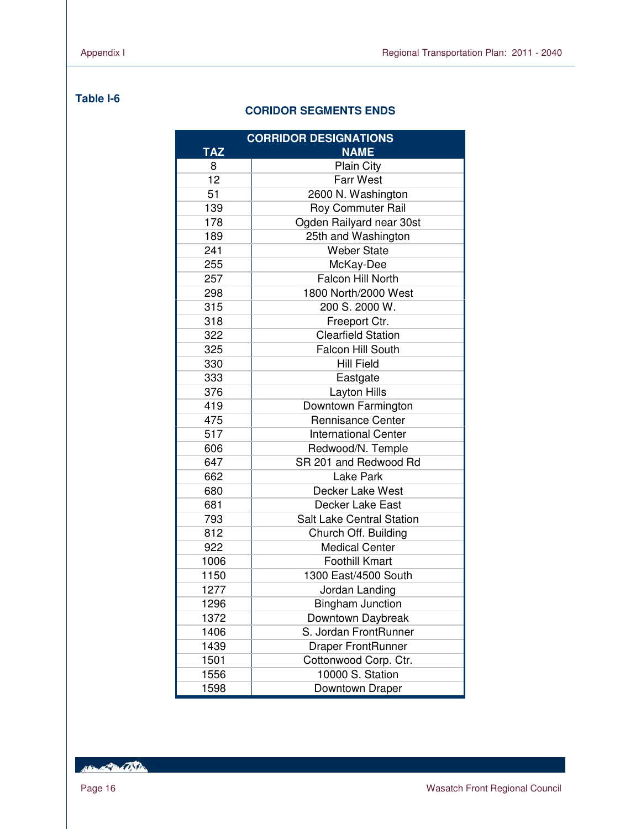## **Table I-6**

## **CORIDOR SEGMENTS ENDS**

|            | <b>CORRIDOR DESIGNATIONS</b>     |  |  |  |  |  |  |
|------------|----------------------------------|--|--|--|--|--|--|
| <b>TAZ</b> | <b>NAME</b>                      |  |  |  |  |  |  |
| 8          | Plain City                       |  |  |  |  |  |  |
| 12         | <b>Farr West</b>                 |  |  |  |  |  |  |
| 51         | 2600 N. Washington               |  |  |  |  |  |  |
| 139        | Roy Commuter Rail                |  |  |  |  |  |  |
| 178        | Ogden Railyard near 30st         |  |  |  |  |  |  |
| 189        | 25th and Washington              |  |  |  |  |  |  |
| 241        | <b>Weber State</b>               |  |  |  |  |  |  |
| 255        | McKay-Dee                        |  |  |  |  |  |  |
| 257        | Falcon Hill North                |  |  |  |  |  |  |
| 298        | 1800 North/2000 West             |  |  |  |  |  |  |
| 315        | 200 S. 2000 W.                   |  |  |  |  |  |  |
| 318        | Freeport Ctr.                    |  |  |  |  |  |  |
| 322        | <b>Clearfield Station</b>        |  |  |  |  |  |  |
| 325        | Falcon Hill South                |  |  |  |  |  |  |
| 330        | <b>Hill Field</b>                |  |  |  |  |  |  |
| 333        | Eastgate                         |  |  |  |  |  |  |
| 376        | Layton Hills                     |  |  |  |  |  |  |
| 419        | Downtown Farmington              |  |  |  |  |  |  |
| 475        | <b>Rennisance Center</b>         |  |  |  |  |  |  |
| 517        | <b>International Center</b>      |  |  |  |  |  |  |
| 606        | Redwood/N. Temple                |  |  |  |  |  |  |
| 647        | SR 201 and Redwood Rd            |  |  |  |  |  |  |
| 662        | Lake Park                        |  |  |  |  |  |  |
| 680        | Decker Lake West                 |  |  |  |  |  |  |
| 681        | Decker Lake East                 |  |  |  |  |  |  |
| 793        | <b>Salt Lake Central Station</b> |  |  |  |  |  |  |
| 812        | Church Off. Building             |  |  |  |  |  |  |
| 922        | <b>Medical Center</b>            |  |  |  |  |  |  |
| 1006       | <b>Foothill Kmart</b>            |  |  |  |  |  |  |
| 1150       | 1300 East/4500 South             |  |  |  |  |  |  |
| 1277       | Jordan Landing                   |  |  |  |  |  |  |
| 1296       | <b>Bingham Junction</b>          |  |  |  |  |  |  |
| 1372       | Downtown Daybreak                |  |  |  |  |  |  |
| 1406       | S. Jordan FrontRunner            |  |  |  |  |  |  |
| 1439       | <b>Draper FrontRunner</b>        |  |  |  |  |  |  |
| 1501       | Cottonwood Corp. Ctr.            |  |  |  |  |  |  |
| 1556       | 10000 S. Station                 |  |  |  |  |  |  |
| 1598       | Downtown Draper                  |  |  |  |  |  |  |

RENT REPORT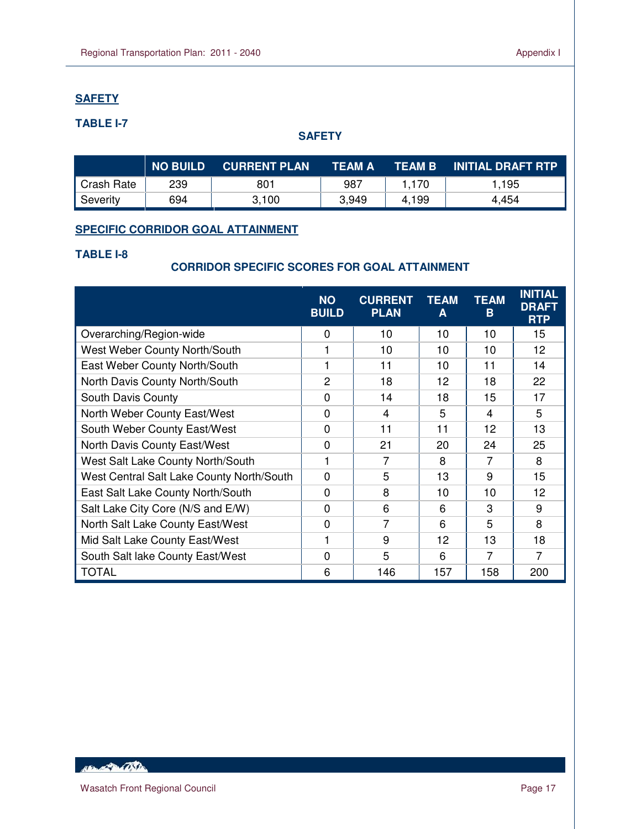## **SAFETY**

L

## **TABLE I-7**

## **SAFETY**

|            | <b>NO BUILD</b> | <b>CURRENT PLAN</b> | <b>TEAM A</b> | <b>TEAM B</b> | <b>INITIAL DRAFT RTP</b> |
|------------|-----------------|---------------------|---------------|---------------|--------------------------|
| Crash Rate | 239             | 801                 | 987           | 1,170         | 1.195                    |
| Severity   | 694             | 3,100               | 3,949         | 4,199         | 4,454                    |

## **SPECIFIC CORRIDOR GOAL ATTAINMENT**

## **TABLE I-8**

## **CORRIDOR SPECIFIC SCORES FOR GOAL ATTAINMENT**

|                                           | <b>NO</b><br><b>BUILD</b> | <b>CURRENT</b><br><b>PLAN</b> | <b>TEAM</b><br>A | <b>TEAM</b><br>B | <b>INITIAL</b><br><b>DRAFT</b><br><b>RTP</b> |
|-------------------------------------------|---------------------------|-------------------------------|------------------|------------------|----------------------------------------------|
| Overarching/Region-wide                   | 0                         | 10                            | 10               | 10               | 15                                           |
| West Weber County North/South             | 1                         | 10                            | 10               | 10               | 12                                           |
| East Weber County North/South             | 1                         | 11                            | 10               | 11               | 14                                           |
| North Davis County North/South            | $\overline{2}$            | 18                            | 12               | 18               | 22                                           |
| South Davis County                        | $\Omega$                  | 14                            | 18               | 15               | 17                                           |
| North Weber County East/West              | $\Omega$                  | $\overline{4}$                | 5                | 4                | 5                                            |
| South Weber County East/West              | $\Omega$                  | 11                            | 11               | 12               | 13                                           |
| North Davis County East/West              | $\Omega$                  | 21                            | 20               | 24               | 25                                           |
| West Salt Lake County North/South         | 1                         | 7                             | 8                | 7                | 8                                            |
| West Central Salt Lake County North/South | $\mathbf{0}$              | 5                             | 13               | 9                | 15                                           |
| East Salt Lake County North/South         | 0                         | 8                             | 10               | 10               | 12                                           |
| Salt Lake City Core (N/S and E/W)         | $\mathbf{0}$              | 6                             | 6                | 3                | 9                                            |
| North Salt Lake County East/West          | 0                         | 7                             | 6                | 5                | 8                                            |
| Mid Salt Lake County East/West            | 1                         | 9                             | 12               | 13               | 18                                           |
| South Salt lake County East/West          | $\Omega$                  | 5                             | 6                | 7                | 7                                            |
| TOTAL                                     | 6                         | 146                           | 157              | 158              | 200                                          |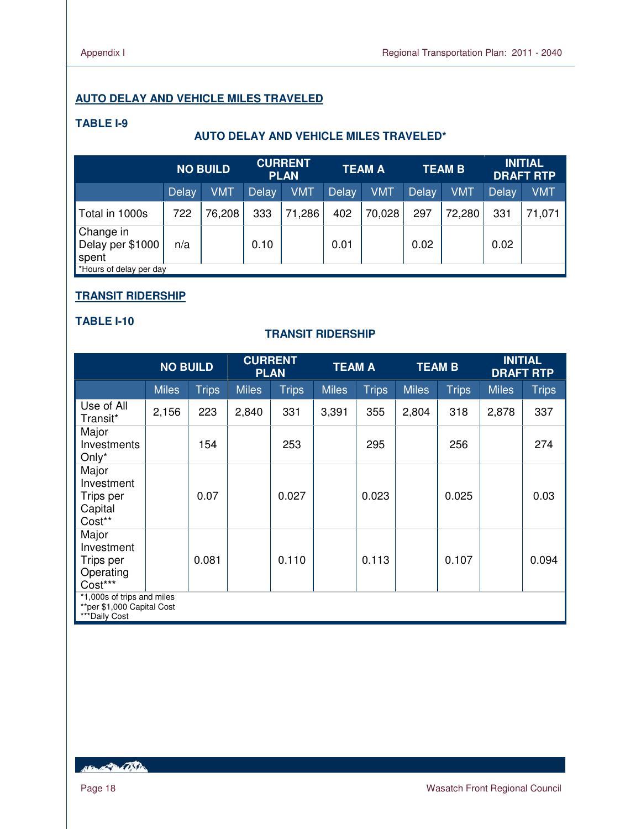## **AUTO DELAY AND VEHICLE MILES TRAVELED**

## **TABLE I-9**

## **AUTO DELAY AND VEHICLE MILES TRAVELED\***

|                                        | <b>NO BUILD</b> |            | <b>CURRENT</b><br><b>PLAN</b> |        |              | <b>TEAM A</b> |              | <b>TEAM B</b> |              | <b>INITIAL</b><br><b>DRAFT RTP</b> |  |
|----------------------------------------|-----------------|------------|-------------------------------|--------|--------------|---------------|--------------|---------------|--------------|------------------------------------|--|
|                                        | Delay           | <b>VMT</b> | <b>Delay</b>                  | VMT    | <b>Delay</b> | <b>VMT</b>    | <b>Delay</b> | <b>VMT</b>    | <b>Delay</b> | VMT                                |  |
| Total in 1000s                         | 722             | 76,208     | 333                           | 71,286 | 402          | 70,028        | 297          | 72,280        | 331          | 71,071                             |  |
| Change in<br>Delay per \$1000<br>spent | n/a             |            | 0.10                          |        | 0.01         |               | 0.02         |               | 0.02         |                                    |  |
| Hours of delay per day                 |                 |            |                               |        |              |               |              |               |              |                                    |  |

## **TRANSIT RIDERSHIP**

#### **TABLE I-10**

## **TRANSIT RIDERSHIP**

|                                                                           | <b>NO BUILD</b> |              | <b>PLAN</b>  | <b>CURRENT</b> | <b>TEAM A</b> |              |              | <b>TEAM B</b> |              | <b>INITIAL</b><br><b>DRAFT RTP</b> |
|---------------------------------------------------------------------------|-----------------|--------------|--------------|----------------|---------------|--------------|--------------|---------------|--------------|------------------------------------|
|                                                                           | <b>Miles</b>    | <b>Trips</b> | <b>Miles</b> | <b>Trips</b>   | <b>Miles</b>  | <b>Trips</b> | <b>Miles</b> | <b>Trips</b>  | <b>Miles</b> | <b>Trips</b>                       |
| Use of All<br>Transit*                                                    | 2,156           | 223          | 2,840        | 331            | 3,391         | 355          | 2,804        | 318           | 2,878        | 337                                |
| Major<br>Investments<br>Only $*$                                          |                 | 154          |              | 253            |               | 295          |              | 256           |              | 274                                |
| Major<br>Investment<br>Trips per<br>Capital<br>Cost**                     |                 | 0.07         |              | 0.027          |               | 0.023        |              | 0.025         |              | 0.03                               |
| Major<br>Investment<br>Trips per<br>Operating<br>Cost***                  |                 | 0.081        |              | 0.110          |               | 0.113        |              | 0.107         |              | 0.094                              |
| *1,000s of trips and miles<br>**per \$1,000 Capital Cost<br>***Daily Cost |                 |              |              |                |               |              |              |               |              |                                    |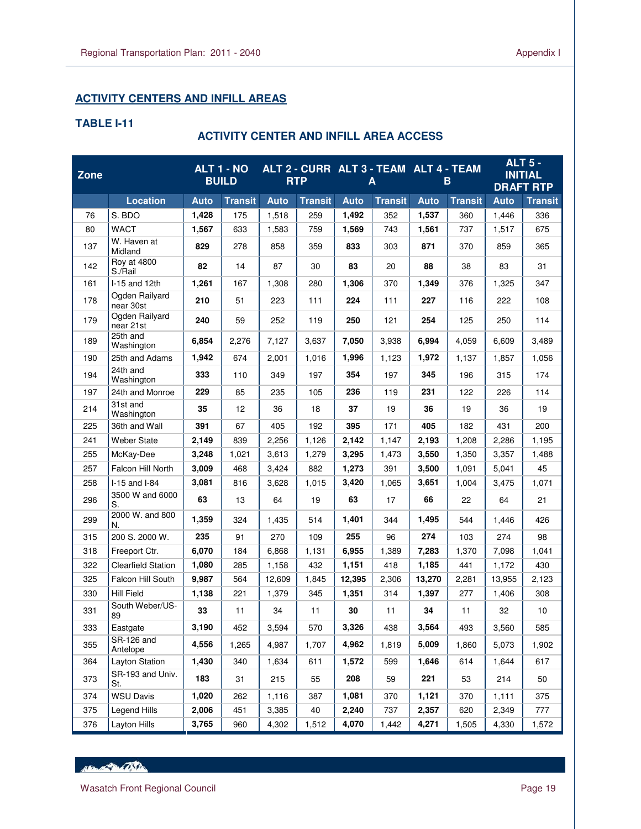## **ACTIVITY CENTERS AND INFILL AREAS**

## **TABLE I-11**

L

## **ACTIVITY CENTER AND INFILL AREA ACCESS**

| <b>Zone</b> |                               |             | <b>ALT 1 - NO</b><br><b>BUILD</b> |             | <b>RTP</b>     |             | A              | ALT 2 - CURR ALT 3 - TEAM ALT 4 - TEAM<br>в |                | <b>ALT 5 -</b><br><b>INITIAL</b><br><b>DRAFT RTP</b> |                |
|-------------|-------------------------------|-------------|-----------------------------------|-------------|----------------|-------------|----------------|---------------------------------------------|----------------|------------------------------------------------------|----------------|
|             | <b>Location</b>               | <b>Auto</b> | <b>Transit</b>                    | <b>Auto</b> | <b>Transit</b> | <b>Auto</b> | <b>Transit</b> | <b>Auto</b>                                 | <b>Transit</b> | <b>Auto</b>                                          | <b>Transit</b> |
| 76          | S. BDO                        | 1,428       | 175                               | 1,518       | 259            | 1,492       | 352            | 1,537                                       | 360            | 1,446                                                | 336            |
| 80          | <b>WACT</b>                   | 1,567       | 633                               | 1,583       | 759            | 1,569       | 743            | 1,561                                       | 737            | 1,517                                                | 675            |
| 137         | W. Haven at<br>Midland        | 829         | 278                               | 858         | 359            | 833         | 303            | 871                                         | 370            | 859                                                  | 365            |
| 142         | <b>Roy at 4800</b><br>S./Rail | 82          | 14                                | 87          | 30             | 83          | 20             | 88                                          | 38             | 83                                                   | 31             |
| 161         | I-15 and 12th                 | 1,261       | 167                               | 1,308       | 280            | 1,306       | 370            | 1,349                                       | 376            | 1,325                                                | 347            |
| 178         | Ogden Railyard<br>near 30st   | 210         | 51                                | 223         | 111            | 224         | 111            | 227                                         | 116            | 222                                                  | 108            |
| 179         | Ogden Railyard<br>near 21st   | 240         | 59                                | 252         | 119            | 250         | 121            | 254                                         | 125            | 250                                                  | 114            |
| 189         | 25th and<br>Washington        | 6,854       | 2,276                             | 7,127       | 3,637          | 7,050       | 3,938          | 6,994                                       | 4,059          | 6,609                                                | 3,489          |
| 190         | 25th and Adams                | 1,942       | 674                               | 2,001       | 1,016          | 1,996       | 1,123          | 1,972                                       | 1,137          | 1,857                                                | 1,056          |
| 194         | 24th and<br>Washington        | 333         | 110                               | 349         | 197            | 354         | 197            | 345                                         | 196            | 315                                                  | 174            |
| 197         | 24th and Monroe               | 229         | 85                                | 235         | 105            | 236         | 119            | 231                                         | 122            | 226                                                  | 114            |
| 214         | 31st and<br>Washington        | 35          | 12                                | 36          | 18             | 37          | 19             | 36                                          | 19             | 36                                                   | 19             |
| 225         | 36th and Wall                 | 391         | 67                                | 405         | 192            | 395         | 171            | 405                                         | 182            | 431                                                  | 200            |
| 241         | <b>Weber State</b>            | 2,149       | 839                               | 2,256       | 1,126          | 2,142       | 1,147          | 2,193                                       | 1,208          | 2,286                                                | 1,195          |
| 255         | McKay-Dee                     | 3,248       | 1,021                             | 3,613       | 1,279          | 3,295       | 1,473          | 3,550                                       | 1,350          | 3,357                                                | 1,488          |
| 257         | Falcon Hill North             | 3,009       | 468                               | 3,424       | 882            | 1,273       | 391            | 3,500                                       | 1,091          | 5,041                                                | 45             |
| 258         | I-15 and I-84                 | 3,081       | 816                               | 3,628       | 1,015          | 3,420       | 1,065          | 3,651                                       | 1,004          | 3,475                                                | 1,071          |
| 296         | 3500 W and 6000<br>S.         | 63          | 13                                | 64          | 19             | 63          | 17             | 66                                          | 22             | 64                                                   | 21             |
| 299         | 2000 W. and 800<br>N.         | 1,359       | 324                               | 1,435       | 514            | 1,401       | 344            | 1,495                                       | 544            | 1,446                                                | 426            |
| 315         | 200 S. 2000 W.                | 235         | 91                                | 270         | 109            | 255         | 96             | 274                                         | 103            | 274                                                  | 98             |
| 318         | Freeport Ctr.                 | 6,070       | 184                               | 6,868       | 1,131          | 6,955       | 1,389          | 7,283                                       | 1,370          | 7,098                                                | 1,041          |
| 322         | <b>Clearfield Station</b>     | 1,080       | 285                               | 1.158       | 432            | 1,151       | 418            | 1,185                                       | 441            | 1,172                                                | 430            |
| 325         | Falcon Hill South             | 9,987       | 564                               | 12,609      | 1,845          | 12,395      | 2,306          | 13,270                                      | 2,281          | 13,955                                               | 2,123          |
| 330         | <b>Hill Field</b>             | 1,138       | 221                               | 1,379       | 345            | 1,351       | 314            | 1,397                                       | 277            | 1,406                                                | 308            |
| 331         | South Weber/US-<br>89         | 33          | 11                                | 34          | 11             | 30          | 11             | 34                                          | 11             | 32                                                   | 10             |
| 333         | Eastgate                      | 3,190       | 452                               | 3,594       | 570            | 3,326       | 438            | 3,564                                       | 493            | 3,560                                                | 585            |
| 355         | SR-126 and<br>Antelope        | 4,556       | 1,265                             | 4,987       | 1,707          | 4,962       | 1,819          | 5,009                                       | 1,860          | 5,073                                                | 1,902          |
| 364         | Layton Station                | 1,430       | 340                               | 1,634       | 611            | 1,572       | 599            | 1,646                                       | 614            | 1,644                                                | 617            |
| 373         | SR-193 and Univ.<br>St.       | 183         | 31                                | 215         | 55             | 208         | 59             | 221                                         | 53             | 214                                                  | 50             |
| 374         | <b>WSU Davis</b>              | 1,020       | 262                               | 1,116       | 387            | 1,081       | 370            | 1,121                                       | 370            | 1,111                                                | 375            |
| 375         | Legend Hills                  | 2,006       | 451                               | 3,385       | 40             | 2,240       | 737            | 2,357                                       | 620            | 2,349                                                | 777            |
| 376         | Layton Hills                  | 3,765       | 960                               | 4,302       | 1,512          | 4,070       | 1,442          | 4,271                                       | 1,505          | 4,330                                                | 1,572          |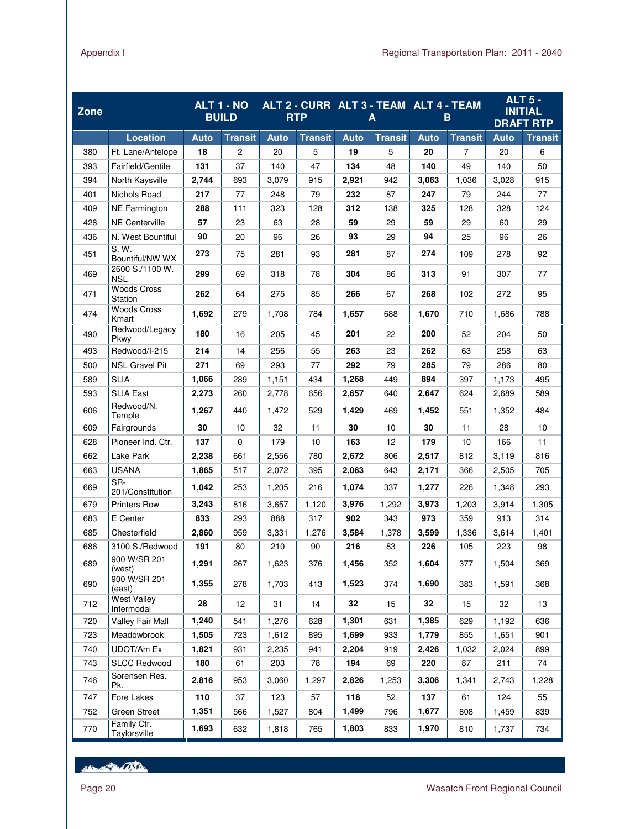| Zone |                                        |             | <b>ALT 1 - NO</b><br><b>BUILD</b> |             | ALT 2 - CURR ALT 3 - TEAM ALT 4 - TEAM<br><b>RTP</b> |             | A              |             | B              |             | <b>ALT 5 -</b><br><b>INITIAL</b><br><b>DRAFT RTP</b> |
|------|----------------------------------------|-------------|-----------------------------------|-------------|------------------------------------------------------|-------------|----------------|-------------|----------------|-------------|------------------------------------------------------|
|      | <b>Location</b>                        | <b>Auto</b> | <b>Transit</b>                    | <b>Auto</b> | <b>Transit</b>                                       | <b>Auto</b> | <b>Transit</b> | <b>Auto</b> | <b>Transit</b> | <b>Auto</b> | <b>Transit</b>                                       |
| 380  | Ft. Lane/Antelope                      | 18          | 2                                 | 20          | 5                                                    | 19          | 5              | 20          | $\overline{7}$ | 20          | 6                                                    |
| 393  | Fairfield/Gentile                      | 131         | 37                                | 140         | 47                                                   | 134         | 48             | 140         | 49             | 140         | 50                                                   |
| 394  | North Kaysville                        | 2,744       | 693                               | 3,079       | 915                                                  | 2,921       | 942            | 3,063       | 1,036          | 3,028       | 915                                                  |
| 401  | Nichols Road                           | 217         | 77                                | 248         | 79                                                   | 232         | 87             | 247         | 79             | 244         | 77                                                   |
| 409  | <b>NE Farmington</b>                   | 288         | 111                               | 323         | 128                                                  | 312         | 138            | 325         | 128            | 328         | 124                                                  |
| 428  | <b>NE Centerville</b>                  | 57          | 23                                | 63          | 28                                                   | 59          | 29             | 59          | 29             | 60          | 29                                                   |
| 436  | N. West Bountiful                      | 90          | 20                                | 96          | 26                                                   | 93          | 29             | 94          | 25             | 96          | 26                                                   |
| 451  | $S. \overline{W}$ .<br>Bountiful/NW WX | 273         | 75                                | 281         | 93                                                   | 281         | 87             | 274         | 109            | 278         | 92                                                   |
| 469  | 2600 S./1100 W.<br><b>NSL</b>          | 299         | 69                                | 318         | 78                                                   | 304         | 86             | 313         | 91             | 307         | 77                                                   |
| 471  | <b>Woods Cross</b><br>Station          | 262         | 64                                | 275         | 85                                                   | 266         | 67             | 268         | 102            | 272         | 95                                                   |
| 474  | <b>Woods Cross</b><br>Kmart            | 1,692       | 279                               | 1,708       | 784                                                  | 1,657       | 688            | 1,670       | 710            | 1,686       | 788                                                  |
| 490  | Redwood/Legacy<br>Pkwy                 | 180         | 16                                | 205         | 45                                                   | 201         | 22             | 200         | 52             | 204         | 50                                                   |
| 493  | Redwood/I-215                          | 214         | 14                                | 256         | 55                                                   | 263         | 23             | 262         | 63             | 258         | 63                                                   |
| 500  | <b>NSL Gravel Pit</b>                  | 271         | 69                                | 293         | 77                                                   | 292         | 79             | 285         | 79             | 286         | 80                                                   |
| 589  | <b>SLIA</b>                            | 1,066       | 289                               | 1,151       | 434                                                  | 1,268       | 449            | 894         | 397            | 1,173       | 495                                                  |
| 593  | <b>SLIA East</b>                       | 2,273       | 260                               | 2,778       | 656                                                  | 2,657       | 640            | 2,647       | 624            | 2,689       | 589                                                  |
| 606  | Redwood/N.<br>Temple                   | 1,267       | 440                               | 1,472       | 529                                                  | 1,429       | 469            | 1,452       | 551            | 1,352       | 484                                                  |
| 609  | Fairgrounds                            | 30          | 10                                | 32          | 11                                                   | 30          | 10             | 30          | 11             | 28          | 10                                                   |
| 628  | Pioneer Ind. Ctr.                      | 137         | 0                                 | 179         | 10                                                   | 163         | 12             | 179         | 10             | 166         | 11                                                   |
| 662  | Lake Park                              | 2,238       | 661                               | 2,556       | 780                                                  | 2,672       | 806            | 2,517       | 812            | 3,119       | 816                                                  |
| 663  | <b>USANA</b>                           | 1,865       | 517                               | 2,072       | 395                                                  | 2,063       | 643            | 2,171       | 366            | 2,505       | 705                                                  |
| 669  | SR-<br>201/Constitution                | 1,042       | 253                               | 1,205       | 216                                                  | 1,074       | 337            | 1,277       | 226            | 1,348       | 293                                                  |
| 679  | <b>Printers Row</b>                    | 3,243       | 816                               | 3,657       | 1,120                                                | 3,976       | 1,292          | 3,973       | 1,203          | 3,914       | 1,305                                                |
| 683  | E Center                               | 833         | 293                               | 888         | 317                                                  | 902         | 343            | 973         | 359            | 913         | 314                                                  |
| 685  | Chesterfield                           | 2,860       | 959                               | 3,331       | 1,276                                                | 3,584       | 1,378          | 3,599       | 1,336          | 3,614       | 1,401                                                |
| 686  | 3100 S./Redwood                        | 191         | 80                                | 210         | 90                                                   | 216         | 83             | 226         | 105            | 223         | 98                                                   |
| 689  | 900 W/SR 201<br>(west)                 | 1,291       | 267                               | 1,623       | 376                                                  | 1,456       | 352            | 1,604       | 377            | 1,504       | 369                                                  |
| 690  | 900 W/SR 201<br>(east)                 | 1,355       | 278                               | 1,703       | 413                                                  | 1,523       | 374            | 1,690       | 383            | 1,591       | 368                                                  |
| 712  | <b>West Valley</b><br>Intermodal       | 28          | 12                                | 31          | 14                                                   | 32          | 15             | 32          | 15             | 32          | 13                                                   |
| 720  | Valley Fair Mall                       | 1,240       | 541                               | 1,276       | 628                                                  | 1,301       | 631            | 1,385       | 629            | 1,192       | 636                                                  |
| 723  | Meadowbrook                            | 1,505       | 723                               | 1,612       | 895                                                  | 1,699       | 933            | 1,779       | 855            | 1,651       | 901                                                  |
| 740  | <b>UDOT/Am Ex</b>                      | 1,821       | 931                               | 2,235       | 941                                                  | 2,204       | 919            | 2,426       | 1,032          | 2,024       | 899                                                  |
| 743  | <b>SLCC Redwood</b>                    | 180         | 61                                | 203         | 78                                                   | 194         | 69             | 220         | 87             | 211         | 74                                                   |
| 746  | Sorensen Res.<br>Pk.                   | 2,816       | 953                               | 3,060       | 1,297                                                | 2,826       | 1,253          | 3,306       | 1,341          | 2,743       | 1,228                                                |
| 747  | Fore Lakes                             | 110         | 37                                | 123         | 57                                                   | 118         | 52             | 137         | 61             | 124         | 55                                                   |
| 752  | Green Street                           | 1,351       | 566                               | 1,527       | 804                                                  | 1,499       | 796            | 1,677       | 808            | 1,459       | 839                                                  |
| 770  | Family Ctr.<br>Taylorsville            | 1,693       | 632                               | 1,818       | 765                                                  | 1,803       | 833            | 1,970       | 810            | 1,737       | 734                                                  |

Hand Dall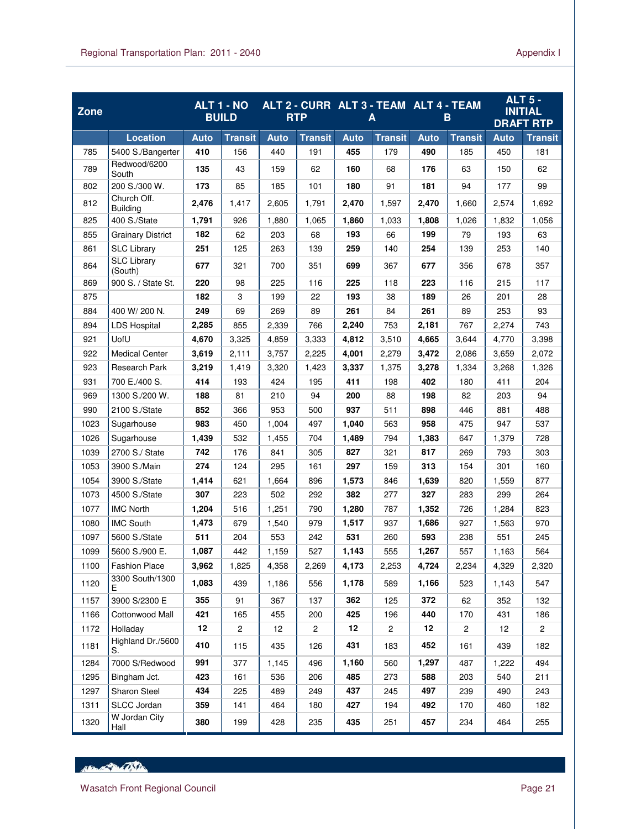| Zone |                                |             | <b>ALT 1 - NO</b><br><b>BUILD</b> |             | ALT 2 - CURR ALT 3 - TEAM ALT 4 - TEAM<br><b>RTP</b> |             | Α              |             | B              |             | <b>ALT 5 -</b><br><b>INITIAL</b><br><b>DRAFT RTP</b> |
|------|--------------------------------|-------------|-----------------------------------|-------------|------------------------------------------------------|-------------|----------------|-------------|----------------|-------------|------------------------------------------------------|
|      | <b>Location</b>                | <b>Auto</b> | <b>Transit</b>                    | <b>Auto</b> | <b>Transit</b>                                       | <b>Auto</b> | <b>Transit</b> | <b>Auto</b> | <b>Transit</b> | <b>Auto</b> | <b>Transit</b>                                       |
| 785  | 5400 S./Bangerter              | 410         | 156                               | 440         | 191                                                  | 455         | 179            | 490         | 185            | 450         | 181                                                  |
| 789  | Redwood/6200<br>South          | 135         | 43                                | 159         | 62                                                   | 160         | 68             | 176         | 63             | 150         | 62                                                   |
| 802  | 200 S./300 W.                  | 173         | 85                                | 185         | 101                                                  | 180         | 91             | 181         | 94             | 177         | 99                                                   |
| 812  | Church Off.<br><b>Building</b> | 2,476       | 1,417                             | 2,605       | 1,791                                                | 2,470       | 1,597          | 2,470       | 1,660          | 2,574       | 1,692                                                |
| 825  | 400 S./State                   | 1,791       | 926                               | 1,880       | 1,065                                                | 1,860       | 1,033          | 1,808       | 1,026          | 1,832       | 1,056                                                |
| 855  | <b>Grainary District</b>       | 182         | 62                                | 203         | 68                                                   | 193         | 66             | 199         | 79             | 193         | 63                                                   |
| 861  | <b>SLC Library</b>             | 251         | 125                               | 263         | 139                                                  | 259         | 140            | 254         | 139            | 253         | 140                                                  |
| 864  | <b>SLC Library</b><br>(South)  | 677         | 321                               | 700         | 351                                                  | 699         | 367            | 677         | 356            | 678         | 357                                                  |
| 869  | 900 S. / State St.             | 220         | 98                                | 225         | 116                                                  | 225         | 118            | 223         | 116            | 215         | 117                                                  |
| 875  |                                | 182         | 3                                 | 199         | 22                                                   | 193         | 38             | 189         | 26             | 201         | 28                                                   |
| 884  | 400 W/200 N.                   | 249         | 69                                | 269         | 89                                                   | 261         | 84             | 261         | 89             | 253         | 93                                                   |
| 894  | <b>LDS Hospital</b>            | 2,285       | 855                               | 2,339       | 766                                                  | 2,240       | 753            | 2,181       | 767            | 2,274       | 743                                                  |
| 921  | UofU                           | 4,670       | 3.325                             | 4.859       | 3,333                                                | 4.812       | 3,510          | 4,665       | 3,644          | 4,770       | 3,398                                                |
| 922  | <b>Medical Center</b>          | 3,619       | 2,111                             | 3,757       | 2,225                                                | 4,001       | 2,279          | 3,472       | 2,086          | 3,659       | 2,072                                                |
| 923  | Research Park                  | 3,219       | 1,419                             | 3,320       | 1,423                                                | 3,337       | 1,375          | 3,278       | 1,334          | 3,268       | 1,326                                                |
| 931  | 700 E./400 S.                  | 414         | 193                               | 424         | 195                                                  | 411         | 198            | 402         | 180            | 411         | 204                                                  |
| 969  | 1300 S./200 W.                 | 188         | 81                                | 210         | 94                                                   | 200         | 88             | 198         | 82             | 203         | 94                                                   |
| 990  | 2100 S./State                  | 852         | 366                               | 953         | 500                                                  | 937         | 511            | 898         | 446            | 881         | 488                                                  |
| 1023 | Sugarhouse                     | 983         | 450                               | 1,004       | 497                                                  | 1,040       | 563            | 958         | 475            | 947         | 537                                                  |
| 1026 | Sugarhouse                     | 1,439       | 532                               | 1,455       | 704                                                  | 1,489       | 794            | 1,383       | 647            | 1,379       | 728                                                  |
| 1039 | 2700 S./ State                 | 742         | 176                               | 841         | 305                                                  | 827         | 321            | 817         | 269            | 793         | 303                                                  |
| 1053 | 3900 S./Main                   | 274         | 124                               | 295         | 161                                                  | 297         | 159            | 313         | 154            | 301         | 160                                                  |
| 1054 | 3900 S./State                  | 1,414       | 621                               | 1,664       | 896                                                  | 1,573       | 846            | 1,639       | 820            | 1,559       | 877                                                  |
| 1073 | 4500 S./State                  | 307         | 223                               | 502         | 292                                                  | 382         | 277            | 327         | 283            | 299         | 264                                                  |
| 1077 | <b>IMC North</b>               | 1,204       | 516                               | 1,251       | 790                                                  | 1,280       | 787            | 1,352       | 726            | 1,284       | 823                                                  |
| 1080 | <b>IMC South</b>               | 1,473       | 679                               | 1,540       | 979                                                  | 1,517       | 937            | 1,686       | 927            | 1,563       | 970                                                  |
| 1097 | 5600 S./State                  | 511         | 204                               | 553         | 242                                                  | 531         | 260            | 593         | 238            | 551         | 245                                                  |
| 1099 | 5600 S./900 E.                 | 1,087       | 442                               | 1,159       | 527                                                  | 1,143       | 555            | 1,267       | 557            | 1,163       | 564                                                  |
| 1100 | <b>Fashion Place</b>           | 3,962       | 1,825                             | 4,358       | 2,269                                                | 4,173       | 2,253          | 4,724       | 2,234          | 4,329       | 2,320                                                |
| 1120 | 3300 South/1300<br>Е           | 1,083       | 439                               | 1,186       | 556                                                  | 1,178       | 589            | 1,166       | 523            | 1,143       | 547                                                  |
| 1157 | 3900 S/2300 E                  | 355         | 91                                | 367         | 137                                                  | 362         | 125            | 372         | 62             | 352         | 132                                                  |
| 1166 | Cottonwood Mall                | 421         | 165                               | 455         | 200                                                  | 425         | 196            | 440         | 170            | 431         | 186                                                  |
| 1172 | Holladay                       | 12          | $\overline{c}$                    | 12          | $\overline{c}$                                       | 12          | $\overline{c}$ | 12          | $\overline{c}$ | 12          | $\overline{2}$                                       |
| 1181 | Highland Dr./5600<br>S.        | 410         | 115                               | 435         | 126                                                  | 431         | 183            | 452         | 161            | 439         | 182                                                  |
| 1284 | 7000 S/Redwood                 | 991         | 377                               | 1,145       | 496                                                  | 1,160       | 560            | 1,297       | 487            | 1,222       | 494                                                  |
| 1295 | Bingham Jct.                   | 423         | 161                               | 536         | 206                                                  | 485         | 273            | 588         | 203            | 540         | 211                                                  |
| 1297 | <b>Sharon Steel</b>            | 434         | 225                               | 489         | 249                                                  | 437         | 245            | 497         | 239            | 490         | 243                                                  |
| 1311 | SLCC Jordan                    | 359         | 141                               | 464         | 180                                                  | 427         | 194            | 492         | 170            | 460         | 182                                                  |
| 1320 | W Jordan City<br>Hall          | 380         | 199                               | 428         | 235                                                  | 435         | 251            | 457         | 234            | 464         | 255                                                  |

HEL AND CONTRACTOR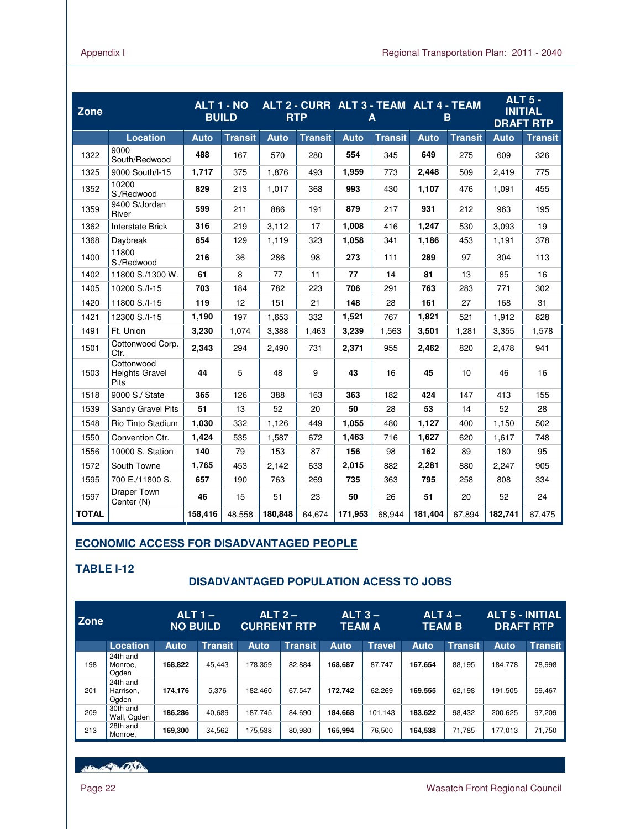| <b>Zone</b>  |                                      |             | ALT 1 - NO<br><b>BUILD</b> |             | <b>RTP</b>     |             | ALT 2 - CURR ALT 3 - TEAM ALT 4 - TEAM<br>A |             | B              | <b>ALT 5 -</b><br><b>INITIAL</b><br><b>DRAFT RTP</b> |                |
|--------------|--------------------------------------|-------------|----------------------------|-------------|----------------|-------------|---------------------------------------------|-------------|----------------|------------------------------------------------------|----------------|
|              | <b>Location</b>                      | <b>Auto</b> | <b>Transit</b>             | <b>Auto</b> | <b>Transit</b> | <b>Auto</b> | <b>Transit</b>                              | <b>Auto</b> | <b>Transit</b> | <b>Auto</b>                                          | <b>Transit</b> |
| 1322         | 9000<br>South/Redwood                | 488         | 167                        | 570         | 280            | 554         | 345                                         | 649         | 275            | 609                                                  | 326            |
| 1325         | 9000 South/I-15                      | 1,717       | 375                        | 1,876       | 493            | 1,959       | 773                                         | 2,448       | 509            | 2,419                                                | 775            |
| 1352         | 10200<br>S./Redwood                  | 829         | 213                        | 1,017       | 368            | 993         | 430                                         | 1,107       | 476            | 1.091                                                | 455            |
| 1359         | 9400 S/Jordan<br>River               | 599         | 211                        | 886         | 191            | 879         | 217                                         | 931         | 212            | 963                                                  | 195            |
| 1362         | Interstate Brick                     | 316         | 219                        | 3,112       | 17             | 1,008       | 416                                         | 1,247       | 530            | 3,093                                                | 19             |
| 1368         | Daybreak                             | 654         | 129                        | 1,119       | 323            | 1,058       | 341                                         | 1,186       | 453            | 1,191                                                | 378            |
| 1400         | 11800<br>S./Redwood                  | 216         | 36                         | 286         | 98             | 273         | 111                                         | 289         | 97             | 304                                                  | 113            |
| 1402         | 11800 S./1300 W.                     | 61          | 8                          | 77          | 11             | 77          | 14                                          | 81          | 13             | 85                                                   | 16             |
| 1405         | 10200 S./I-15                        | 703         | 184                        | 782         | 223            | 706         | 291                                         | 763         | 283            | 771                                                  | 302            |
| 1420         | 11800 S./I-15                        | 119         | 12                         | 151         | 21             | 148         | 28                                          | 161         | 27             | 168                                                  | 31             |
| 1421         | 12300 S./I-15                        | 1,190       | 197                        | 1,653       | 332            | 1,521       | 767                                         | 1,821       | 521            | 1,912                                                | 828            |
| 1491         | Ft. Union                            | 3,230       | 1,074                      | 3,388       | 1,463          | 3,239       | 1,563                                       | 3,501       | 1,281          | 3,355                                                | 1,578          |
| 1501         | Cottonwood Corp.<br>Ctr.             | 2,343       | 294                        | 2,490       | 731            | 2,371       | 955                                         | 2,462       | 820            | 2,478                                                | 941            |
| 1503         | Cottonwood<br>Heights Gravel<br>Pits | 44          | 5                          | 48          | 9              | 43          | 16                                          | 45          | 10             | 46                                                   | 16             |
| 1518         | 9000 S./ State                       | 365         | 126                        | 388         | 163            | 363         | 182                                         | 424         | 147            | 413                                                  | 155            |
| 1539         | Sandy Gravel Pits                    | 51          | 13                         | 52          | 20             | 50          | 28                                          | 53          | 14             | 52                                                   | 28             |
| 1548         | Rio Tinto Stadium                    | 1,030       | 332                        | 1,126       | 449            | 1,055       | 480                                         | 1,127       | 400            | 1,150                                                | 502            |
| 1550         | Convention Ctr.                      | 1,424       | 535                        | 1,587       | 672            | 1,463       | 716                                         | 1,627       | 620            | 1,617                                                | 748            |
| 1556         | 10000 S. Station                     | 140         | 79                         | 153         | 87             | 156         | 98                                          | 162         | 89             | 180                                                  | 95             |
| 1572         | South Towne                          | 1,765       | 453                        | 2,142       | 633            | 2,015       | 882                                         | 2,281       | 880            | 2,247                                                | 905            |
| 1595         | 700 E./11800 S.                      | 657         | 190                        | 763         | 269            | 735         | 363                                         | 795         | 258            | 808                                                  | 334            |
| 1597         | Draper Town<br>Center (N)            | 46          | 15                         | 51          | 23             | 50          | 26                                          | 51          | 20             | 52                                                   | 24             |
| <b>TOTAL</b> |                                      | 158,416     | 48,558                     | 180,848     | 64,674         | 171,953     | 68,944                                      | 181,404     | 67,894         | 182,741                                              | 67,475         |

## **ECONOMIC ACCESS FOR DISADVANTAGED PEOPLE**

## **TABLE I-12**

## **DISADVANTAGED POPULATION ACESS TO JOBS**

| <b>Zone</b> |                                | <b>NO BUILD</b> | <b>ALT 1 –</b> | ALT <sub>2</sub><br><b>CURRENT RTP</b> |                | ALT <sub>3</sub><br>TEAM A |               | $ALT$ 4 $-$<br><b>TEAM B</b> |                | <b>ALT 5 - INITIAL</b><br><b>DRAFT RTP</b> |                |
|-------------|--------------------------------|-----------------|----------------|----------------------------------------|----------------|----------------------------|---------------|------------------------------|----------------|--------------------------------------------|----------------|
|             | Location                       | <b>Auto</b>     | <b>Transit</b> | Auto                                   | <b>Transit</b> | Auto                       | <b>Travel</b> | Auto                         | <b>Transit</b> | <b>Auto</b>                                | <b>Transit</b> |
| 198         | 24th and<br>Monroe,<br>Ogden   | 168,822         | 45.443         | 178.359                                | 82.884         | 168.687                    | 87.747        | 167.654                      | 88.195         | 184,778                                    | 78,998         |
| 201         | 24th and<br>Harrison,<br>Ogden | 174.176         | 5.376          | 182.460                                | 67.547         | 172.742                    | 62.269        | 169.555                      | 62.198         | 191,505                                    | 59,467         |
| 209         | 30th and<br>Wall, Ogden        | 186,286         | 40.689         | 187,745                                | 84.690         | 184.668                    | 101.143       | 183,622                      | 98.432         | 200,625                                    | 97,209         |
| 213         | 28th and<br>Monroe.            | 169,300         | 34,562         | 175.538                                | 80,980         | 165,994                    | 76.500        | 164,538                      | 71.785         | 177.013                                    | 71,750         |

RENT WITH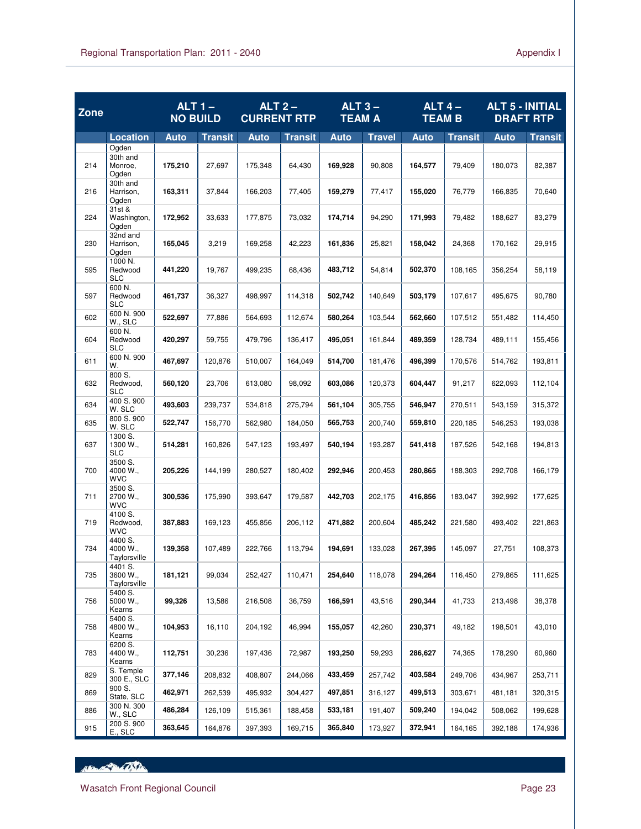| Zone |                                       | $ALT1 -$<br><b>NO BUILD</b> |                | ALT <sub>2</sub><br><b>CURRENT RTP</b> |                | ALT $3-$<br><b>TEAM A</b> |               | ALT $4-$<br><b>TEAM B</b> |                | <b>ALT 5 - INITIAL</b><br><b>DRAFT RTP</b> |                |
|------|---------------------------------------|-----------------------------|----------------|----------------------------------------|----------------|---------------------------|---------------|---------------------------|----------------|--------------------------------------------|----------------|
|      | <b>Location</b>                       | <b>Auto</b>                 | <b>Transit</b> | Auto                                   | <b>Transit</b> | <b>Auto</b>               | <b>Travel</b> | Auto                      | <b>Transit</b> | <b>Auto</b>                                | <b>Transit</b> |
| 214  | Ogden<br>30th and<br>Monroe,<br>Ogden | 175,210                     | 27,697         | 175,348                                | 64,430         | 169,928                   | 90.808        | 164,577                   | 79,409         | 180,073                                    | 82,387         |
| 216  | 30th and<br>Harrison.<br>Ogden        | 163,311                     | 37,844         | 166,203                                | 77,405         | 159,279                   | 77,417        | 155,020                   | 76,779         | 166,835                                    | 70,640         |
| 224  | 31st &<br>Washington,<br>Ogden        | 172,952                     | 33,633         | 177,875                                | 73,032         | 174,714                   | 94,290        | 171,993                   | 79,482         | 188,627                                    | 83,279         |
| 230  | 32nd and<br>Harrison,<br>Ogden        | 165,045                     | 3,219          | 169,258                                | 42,223         | 161,836                   | 25,821        | 158,042                   | 24,368         | 170,162                                    | 29,915         |
| 595  | 1000 N.<br>Redwood<br><b>SLC</b>      | 441,220                     | 19,767         | 499,235                                | 68,436         | 483,712                   | 54,814        | 502,370                   | 108,165        | 356,254                                    | 58,119         |
| 597  | 600 N.<br>Redwood<br><b>SLC</b>       | 461.737                     | 36,327         | 498,997                                | 114,318        | 502,742                   | 140.649       | 503,179                   | 107.617        | 495,675                                    | 90.780         |
| 602  | 600 N. 900<br>W., SLC                 | 522,697                     | 77,886         | 564,693                                | 112,674        | 580,264                   | 103,544       | 562,660                   | 107,512        | 551,482                                    | 114,450        |
| 604  | 600 N.<br>Redwood<br><b>SLC</b>       | 420.297                     | 59,755         | 479,796                                | 136,417        | 495,051                   | 161,844       | 489,359                   | 128,734        | 489,111                                    | 155,456        |
| 611  | 600 N. 900<br>W.                      | 467,697                     | 120,876        | 510,007                                | 164,049        | 514,700                   | 181,476       | 496,399                   | 170,576        | 514.762                                    | 193,811        |
| 632  | 800 S.<br>Redwood,<br><b>SLC</b>      | 560,120                     | 23,706         | 613,080                                | 98,092         | 603,086                   | 120,373       | 604,447                   | 91,217         | 622,093                                    | 112,104        |
| 634  | 400 S. 900<br>W. SLC                  | 493,603                     | 239,737        | 534,818                                | 275,794        | 561,104                   | 305,755       | 546,947                   | 270,511        | 543,159                                    | 315,372        |
| 635  | 800 S. 900<br>W. SLC                  | 522,747                     | 156,770        | 562,980                                | 184,050        | 565,753                   | 200,740       | 559,810                   | 220,185        | 546,253                                    | 193,038        |
| 637  | 1300 S.<br>1300 W.,<br>SLC            | 514,281                     | 160,826        | 547,123                                | 193,497        | 540,194                   | 193,287       | 541,418                   | 187,526        | 542,168                                    | 194,813        |
| 700  | 3500 S.<br>4000 W.,<br><b>WVC</b>     | 205,226                     | 144,199        | 280,527                                | 180,402        | 292,946                   | 200,453       | 280,865                   | 188,303        | 292,708                                    | 166,179        |
| 711  | 3500 S.<br>2700 W.,<br><b>WVC</b>     | 300,536                     | 175,990        | 393,647                                | 179,587        | 442,703                   | 202,175       | 416,856                   | 183,047        | 392,992                                    | 177,625        |
| 719  | 4100 S.<br>Redwood,<br><b>WVC</b>     | 387,883                     | 169,123        | 455,856                                | 206,112        | 471,882                   | 200,604       | 485,242                   | 221,580        | 493,402                                    | 221,863        |
| 734  | 4400 S.<br>4000 W.,<br>Taylorsville   | 139,358                     | 107,489        | 222,766                                | 113,794        | 194,691                   | 133,028       | 267,395                   | 145,097        | 27,751                                     | 108,373        |
| 735  | 4401 S.<br>3600 W.,<br>Taylorsville   | 181,121                     | 99,034         | 252,427                                | 110,471        | 254,640                   | 118,078       | 294,264                   | 116,450        | 279,865                                    | 111,625        |
| 756  | 5400 S.<br>5000 W.,<br>Kearns         | 99,326                      | 13,586         | 216,508                                | 36,759         | 166,591                   | 43,516        | 290,344                   | 41,733         | 213,498                                    | 38,378         |
| 758  | 5400 S.<br>4800 W.,<br>Kearns         | 104,953                     | 16,110         | 204,192                                | 46,994         | 155,057                   | 42,260        | 230,371                   | 49,182         | 198,501                                    | 43,010         |
| 783  | 6200 S.<br>4400 W.,<br>Kearns         | 112,751                     | 30,236         | 197,436                                | 72,987         | 193,250                   | 59,293        | 286,627                   | 74,365         | 178,290                                    | 60,960         |
| 829  | S. Temple<br>300 E., SLC              | 377,146                     | 208,832        | 408,807                                | 244,066        | 433,459                   | 257,742       | 403,584                   | 249,706        | 434,967                                    | 253,711        |
| 869  | 900 S.<br>State, SLC                  | 462,971                     | 262,539        | 495,932                                | 304,427        | 497,851                   | 316,127       | 499,513                   | 303,671        | 481,181                                    | 320,315        |
| 886  | 300 N. 300<br>W., SLC                 | 486,284                     | 126,109        | 515,361                                | 188,458        | 533,181                   | 191,407       | 509,240                   | 194,042        | 508,062                                    | 199,628        |
| 915  | 200 S. 900<br>E., SLC                 | 363,645                     | 164,876        | 397,393                                | 169,715        | 365,840                   | 173,927       | 372,941                   | 164,165        | 392,188                                    | 174,936        |

HEL AND CONTRACTOR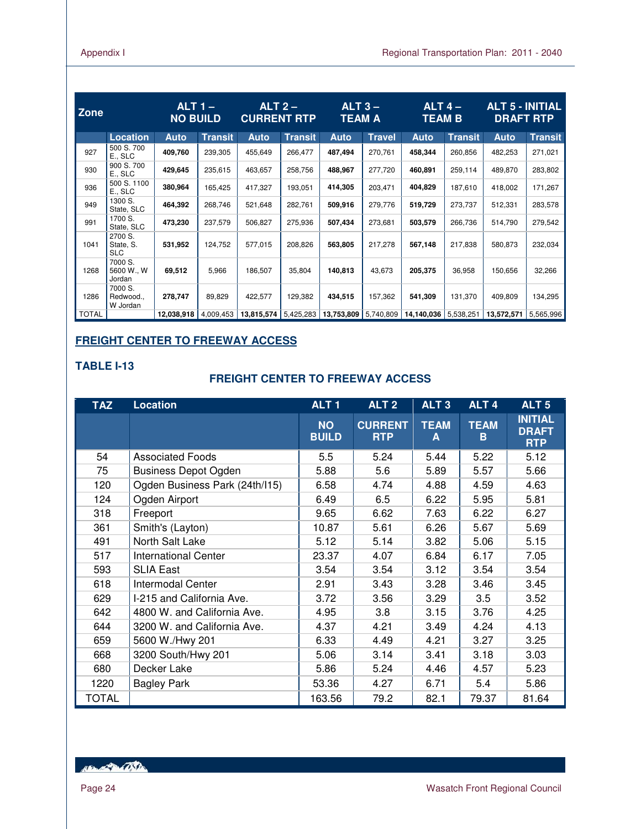| Zone         |                                    | $ALT$ 1 –<br><b>NO BUILD</b> |                | $ALT2-$<br><b>CURRENT RTP</b> |                | $ALT3 -$<br><b>TEAM A</b> |               | $ALT$ 4 $-$<br><b>TEAM B</b> |                | <b>ALT 5 - INITIAL</b><br><b>DRAFT RTP</b> |                |
|--------------|------------------------------------|------------------------------|----------------|-------------------------------|----------------|---------------------------|---------------|------------------------------|----------------|--------------------------------------------|----------------|
|              | <b>Location</b>                    | <b>Auto</b>                  | <b>Transit</b> | <b>Auto</b>                   | <b>Transit</b> | <b>Auto</b>               | <b>Travel</b> | <b>Auto</b>                  | <b>Transit</b> | <b>Auto</b>                                | <b>Transit</b> |
| 927          | 500 S.700<br>E., SLC               | 409,760                      | 239,305        | 455,649                       | 266,477        | 487,494                   | 270,761       | 458,344                      | 260,856        | 482,253                                    | 271,021        |
| 930          | 900 S. 700<br>E., SLC              | 429,645                      | 235,615        | 463,657                       | 258,756        | 488,967                   | 277,720       | 460,891                      | 259,114        | 489,870                                    | 283,802        |
| 936          | 500 S. 1100<br>E., SLC             | 380,964                      | 165,425        | 417,327                       | 193,051        | 414,305                   | 203,471       | 404,829                      | 187,610        | 418,002                                    | 171,267        |
| 949          | 1300 S.<br>State, SLC              | 464,392                      | 268,746        | 521,648                       | 282,761        | 509,916                   | 279,776       | 519,729                      | 273,737        | 512,331                                    | 283,578        |
| 991          | 1700 S.<br>State, SLC              | 473,230                      | 237,579        | 506,827                       | 275,936        | 507,434                   | 273,681       | 503,579                      | 266,736        | 514,790                                    | 279,542        |
| 1041         | 2700 S.<br>State, S.<br><b>SLC</b> | 531,952                      | 124,752        | 577,015                       | 208,826        | 563,805                   | 217,278       | 567,148                      | 217,838        | 580,873                                    | 232,034        |
| 1268         | 7000 S.<br>5600 W., W<br>Jordan    | 69,512                       | 5,966          | 186,507                       | 35,804         | 140,813                   | 43,673        | 205,375                      | 36,958         | 150,656                                    | 32,266         |
| 1286         | 7000 S.<br>Redwood.,<br>W Jordan   | 278,747                      | 89,829         | 422,577                       | 129,382        | 434,515                   | 157,362       | 541,309                      | 131,370        | 409,809                                    | 134,295        |
| <b>TOTAL</b> |                                    | 12,038,918                   | 4,009,453      | 13,815,574                    | 5,425,283      | 13,753,809                | 5,740,809     | 14,140,036                   | 5,538,251      | 13,572,571                                 | 5,565,996      |

## **FREIGHT CENTER TO FREEWAY ACCESS**

## **TABLE I-13**

## **FREIGHT CENTER TO FREEWAY ACCESS**

| <b>TAZ</b> | <b>Location</b>                | ALT <sub>1</sub>          | ALT <sub>2</sub>             | ALT <sub>3</sub> | ALT <sub>4</sub> | ALT <sub>5</sub>                             |
|------------|--------------------------------|---------------------------|------------------------------|------------------|------------------|----------------------------------------------|
|            |                                | <b>NO</b><br><b>BUILD</b> | <b>CURRENT</b><br><b>RTP</b> | <b>TEAM</b><br>A | <b>TEAM</b><br>B | <b>INITIAL</b><br><b>DRAFT</b><br><b>RTP</b> |
| 54         | <b>Associated Foods</b>        | 5.5                       | 5.24                         | 5.44             | 5.22             | 5.12                                         |
| 75         | <b>Business Depot Ogden</b>    | 5.88                      | 5.6                          | 5.89             | 5.57             | 5.66                                         |
| 120        | Ogden Business Park (24th/I15) | 6.58                      | 4.74                         | 4.88             | 4.59             | 4.63                                         |
| 124        | Ogden Airport                  | 6.49                      | 6.5                          | 6.22             | 5.95             | 5.81                                         |
| 318        | Freeport                       | 9.65                      | 6.62                         | 7.63             | 6.22             | 6.27                                         |
| 361        | Smith's (Layton)               | 10.87                     | 5.61                         | 6.26             | 5.67             | 5.69                                         |
| 491        | North Salt Lake                | 5.12                      | 5.14                         | 3.82             | 5.06             | 5.15                                         |
| 517        | <b>International Center</b>    | 23.37                     | 4.07                         | 6.84             | 6.17             | 7.05                                         |
| 593        | <b>SLIA East</b>               | 3.54                      | 3.54                         | 3.12             | 3.54             | 3.54                                         |
| 618        | Intermodal Center              | 2.91                      | 3.43                         | 3.28             | 3.46             | 3.45                                         |
| 629        | I-215 and California Ave.      | 3.72                      | 3.56                         | 3.29             | 3.5              | 3.52                                         |
| 642        | 4800 W. and California Ave.    | 4.95                      | 3.8                          | 3.15             | 3.76             | 4.25                                         |
| 644        | 3200 W. and California Ave.    | 4.37                      | 4.21                         | 3.49             | 4.24             | 4.13                                         |
| 659        | 5600 W./Hwy 201                | 6.33                      | 4.49                         | 4.21             | 3.27             | 3.25                                         |
| 668        | 3200 South/Hwy 201             | 5.06                      | 3.14                         | 3.41             | 3.18             | 3.03                                         |
| 680        | Decker Lake                    | 5.86                      | 5.24                         | 4.46             | 4.57             | 5.23                                         |
| 1220       | <b>Bagley Park</b>             | 53.36                     | 4.27                         | 6.71             | 5.4              | 5.86                                         |
| TOTAL      |                                | 163.56                    | 79.2                         | 82.1             | 79.37            | 81.64                                        |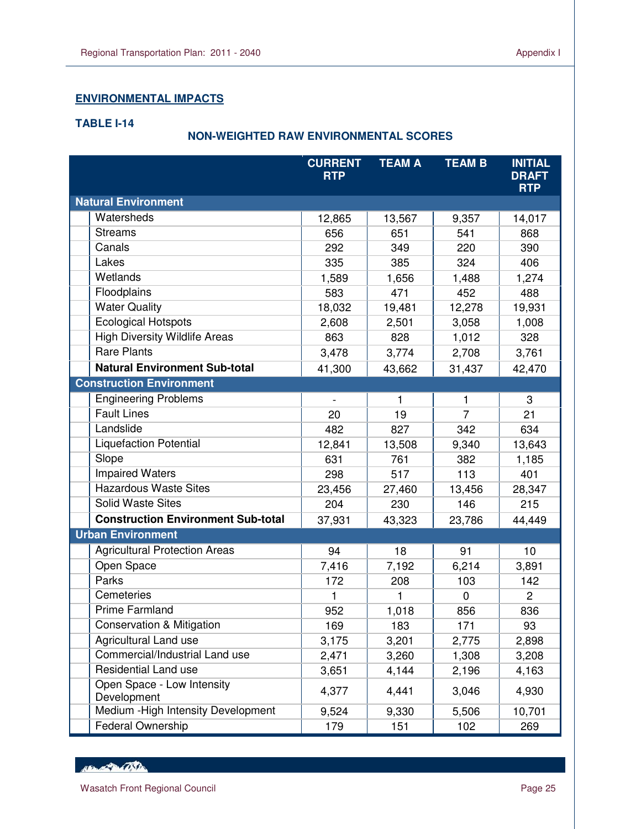## **ENVIRONMENTAL IMPACTS**

## **TABLE I-14**

L

## **NON-WEIGHTED RAW ENVIRONMENTAL SCORES**

|                                           | <b>CURRENT</b><br><b>RTP</b> | <b>TEAM A</b> | <b>TEAM B</b>  | <b>INITIAL</b><br><b>DRAFT</b><br><b>RTP</b> |
|-------------------------------------------|------------------------------|---------------|----------------|----------------------------------------------|
| <b>Natural Environment</b>                |                              |               |                |                                              |
| Watersheds                                | 12,865                       | 13,567        | 9,357          | 14,017                                       |
| <b>Streams</b>                            | 656                          | 651           | 541            | 868                                          |
| Canals                                    | 292                          | 349           | 220            | 390                                          |
| Lakes                                     | 335                          | 385           | 324            | 406                                          |
| Wetlands                                  | 1,589                        | 1,656         | 1,488          | 1,274                                        |
| Floodplains                               | 583                          | 471           | 452            | 488                                          |
| <b>Water Quality</b>                      | 18,032                       | 19,481        | 12,278         | 19,931                                       |
| <b>Ecological Hotspots</b>                | 2,608                        | 2,501         | 3,058          | 1,008                                        |
| <b>High Diversity Wildlife Areas</b>      | 863                          | 828           | 1,012          | 328                                          |
| <b>Rare Plants</b>                        | 3,478                        | 3,774         | 2,708          | 3,761                                        |
| <b>Natural Environment Sub-total</b>      | 41,300                       | 43,662        | 31,437         | 42,470                                       |
| <b>Construction Environment</b>           |                              |               |                |                                              |
| <b>Engineering Problems</b>               |                              | 1             | 1              | 3                                            |
| <b>Fault Lines</b>                        | 20                           | 19            | $\overline{7}$ | 21                                           |
| Landslide                                 | 482                          | 827           | 342            | 634                                          |
| <b>Liquefaction Potential</b>             | 12,841                       | 13,508        | 9,340          | 13,643                                       |
| Slope                                     | 631                          | 761           | 382            | 1,185                                        |
| <b>Impaired Waters</b>                    | 298                          | 517           | 113            | 401                                          |
| <b>Hazardous Waste Sites</b>              | 23,456                       | 27,460        | 13,456         | 28,347                                       |
| <b>Solid Waste Sites</b>                  | 204                          | 230           | 146            | 215                                          |
| <b>Construction Environment Sub-total</b> | 37,931                       | 43,323        | 23,786         | 44,449                                       |
| <b>Urban Environment</b>                  |                              |               |                |                                              |
| <b>Agricultural Protection Areas</b>      | 94                           | 18            | 91             | 10                                           |
| Open Space                                | 7,416                        | 7,192         | 6,214          | 3,891                                        |
| Parks                                     | 172                          | 208           | 103            | 142                                          |
| Cemeteries                                | 1                            | 1             | $\mathbf 0$    | 2                                            |
| <b>Prime Farmland</b>                     | 952                          | 1,018         | 856            | 836                                          |
| <b>Conservation &amp; Mitigation</b>      | 169                          | 183           | 171            | 93                                           |
| Agricultural Land use                     | 3,175                        | 3,201         | 2,775          | 2,898                                        |
| Commercial/Industrial Land use            | 2,471                        | 3,260         | 1,308          | 3,208                                        |
| Residential Land use                      | 3,651                        | 4,144         | 2,196          | 4,163                                        |
| Open Space - Low Intensity<br>Development | 4,377                        | 4,441         | 3,046          | 4,930                                        |
| Medium - High Intensity Development       | 9,524                        | 9,330         | 5,506          | 10,701                                       |
| Federal Ownership                         | 179                          | 151           | 102            | 269                                          |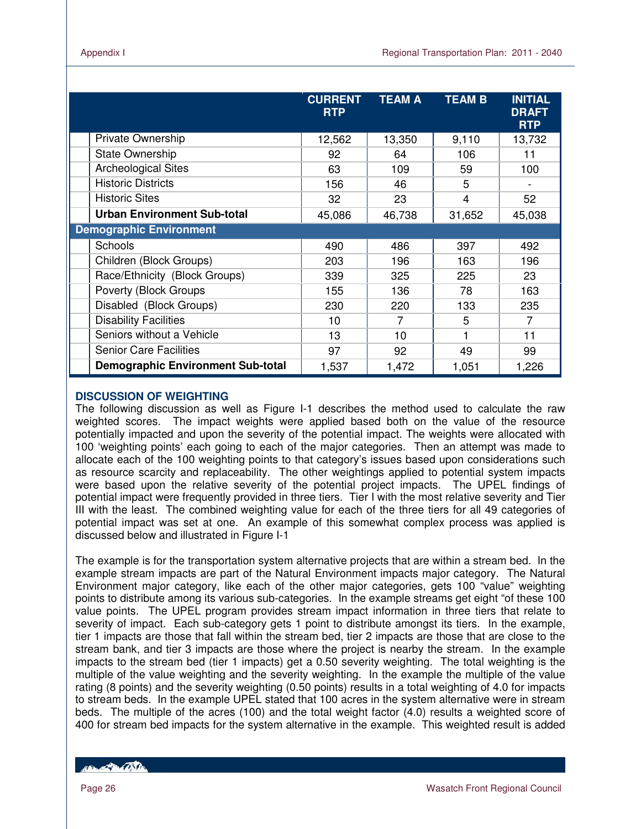|                                          | <b>CURRENT</b><br><b>RTP</b> | <b>TEAM A</b> | <b>TEAM B</b>  | <b>INITIAL</b><br><b>DRAFT</b><br><b>RTP</b> |
|------------------------------------------|------------------------------|---------------|----------------|----------------------------------------------|
| Private Ownership                        | 12,562                       | 13,350        | 9,110          | 13,732                                       |
| <b>State Ownership</b>                   | 92                           | 64            | 106            | 11                                           |
| <b>Archeological Sites</b>               | 63                           | 109           | 59             | 100                                          |
| <b>Historic Districts</b>                | 156                          | 46            | 5              |                                              |
| <b>Historic Sites</b>                    | 32                           | 23            | $\overline{4}$ | 52                                           |
| <b>Urban Environment Sub-total</b>       | 45,086                       | 46,738        | 31,652         | 45,038                                       |
| <b>Demographic Environment</b>           |                              |               |                |                                              |
| Schools                                  | 490                          | 486           | 397            | 492                                          |
| Children (Block Groups)                  | 203                          | 196           | 163            | 196                                          |
| Race/Ethnicity (Block Groups)            | 339                          | 325           | 225            | 23                                           |
| Poverty (Block Groups                    | 155                          | 136           | 78             | 163                                          |
| Disabled (Block Groups)                  | 230                          | 220           | 133            | 235                                          |
| <b>Disability Facilities</b>             | 10                           | 7             | 5              | 7                                            |
| Seniors without a Vehicle                | 13                           | 10            | 1              | 11                                           |
| <b>Senior Care Facilities</b>            | 97                           | 92            | 49             | 99                                           |
| <b>Demographic Environment Sub-total</b> | 1,537                        | 1,472         | 1,051          | 1,226                                        |

## **DISCUSSION OF WEIGHTING**

The following discussion as well as Figure I-1 describes the method used to calculate the raw weighted scores. The impact weights were applied based both on the value of the resource potentially impacted and upon the severity of the potential impact. The weights were allocated with 100 'weighting points' each going to each of the major categories. Then an attempt was made to allocate each of the 100 weighting points to that category's issues based upon considerations such as resource scarcity and replaceability. The other weightings applied to potential system impacts were based upon the relative severity of the potential project impacts. The UPEL findings of potential impact were frequently provided in three tiers. Tier I with the most relative severity and Tier III with the least. The combined weighting value for each of the three tiers for all 49 categories of potential impact was set at one. An example of this somewhat complex process was applied is discussed below and illustrated in Figure I-1

The example is for the transportation system alternative projects that are within a stream bed. In the example stream impacts are part of the Natural Environment impacts major category. The Natural Environment major category, like each of the other major categories, gets 100 "value" weighting points to distribute among its various sub-categories. In the example streams get eight "of these 100 value points. The UPEL program provides stream impact information in three tiers that relate to severity of impact. Each sub-category gets 1 point to distribute amongst its tiers. In the example, tier 1 impacts are those that fall within the stream bed, tier 2 impacts are those that are close to the stream bank, and tier 3 impacts are those where the project is nearby the stream. In the example impacts to the stream bed (tier 1 impacts) get a 0.50 severity weighting. The total weighting is the multiple of the value weighting and the severity weighting. In the example the multiple of the value rating (8 points) and the severity weighting (0.50 points) results in a total weighting of 4.0 for impacts to stream beds. In the example UPEL stated that 100 acres in the system alternative were in stream beds. The multiple of the acres (100) and the total weight factor (4.0) results a weighted score of 400 for stream bed impacts for the system alternative in the example. This weighted result is added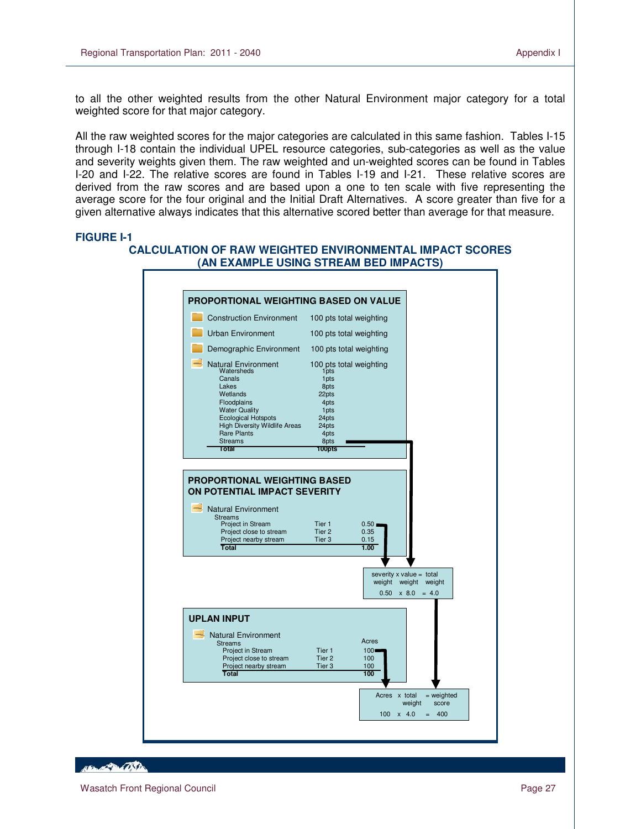to all the other weighted results from the other Natural Environment major category for a total weighted score for that major category.

All the raw weighted scores for the major categories are calculated in this same fashion. Tables I-15 through I-18 contain the individual UPEL resource categories, sub-categories as well as the value and severity weights given them. The raw weighted and un-weighted scores can be found in Tables I-20 and I-22. The relative scores are found in Tables I-19 and I-21. These relative scores are derived from the raw scores and are based upon a one to ten scale with five representing the average score for the four original and the Initial Draft Alternatives. A score greater than five for a given alternative always indicates that this alternative scored better than average for that measure.

#### **FIGURE I-1**

L

#### **CALCULATION OF RAW WEIGHTED ENVIRONMENTAL IMPACT SCORES (AN EXAMPLE USING STREAM BED IMPACTS)**



**Contractor**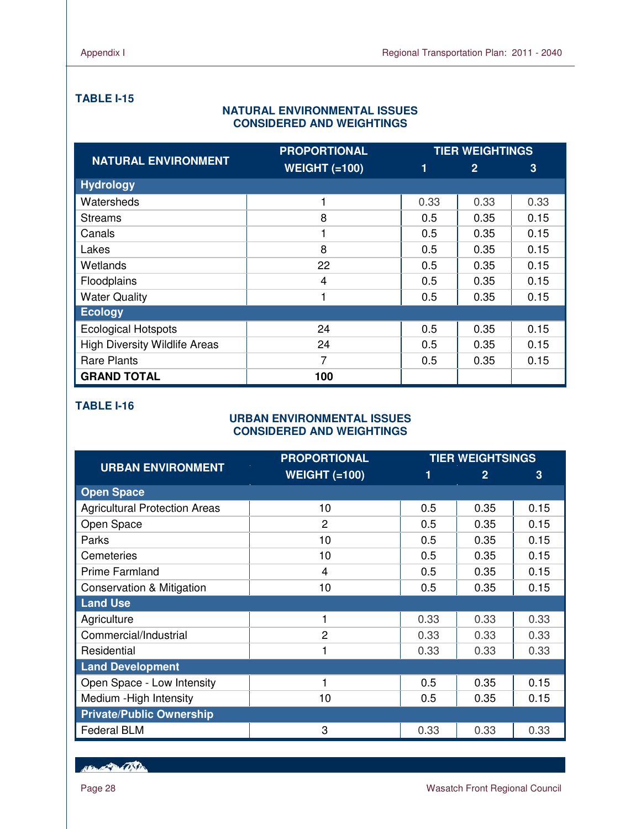## **TABLE I-15**

## **NATURAL ENVIRONMENTAL ISSUES CONSIDERED AND WEIGHTINGS**

|                                      | <b>PROPORTIONAL</b>  |      | <b>TIER WEIGHTINGS</b> |      |
|--------------------------------------|----------------------|------|------------------------|------|
| <b>NATURAL ENVIRONMENT</b>           | <b>WEIGHT (=100)</b> | 1    | $\overline{2}$         | 3    |
| <b>Hydrology</b>                     |                      |      |                        |      |
| Watersheds                           |                      | 0.33 | 0.33                   | 0.33 |
| <b>Streams</b>                       | 8                    | 0.5  | 0.35                   | 0.15 |
| Canals                               | 1                    | 0.5  | 0.35                   | 0.15 |
| Lakes                                | 8                    | 0.5  | 0.35                   | 0.15 |
| Wetlands                             | 22                   | 0.5  | 0.35                   | 0.15 |
| Floodplains                          | $\overline{4}$       | 0.5  | 0.35                   | 0.15 |
| <b>Water Quality</b>                 | 1                    | 0.5  | 0.35                   | 0.15 |
| <b>Ecology</b>                       |                      |      |                        |      |
| <b>Ecological Hotspots</b>           | 24                   | 0.5  | 0.35                   | 0.15 |
| <b>High Diversity Wildlife Areas</b> | 24                   | 0.5  | 0.35                   | 0.15 |
| <b>Rare Plants</b>                   | 7                    | 0.5  | 0.35                   | 0.15 |
| <b>GRAND TOTAL</b>                   | 100                  |      |                        |      |

## **TABLE I-16**

## **URBAN ENVIRONMENTAL ISSUES CONSIDERED AND WEIGHTINGS**

|                                      | <b>PROPORTIONAL</b>  | <b>TIER WEIGHTSINGS</b> |                |      |
|--------------------------------------|----------------------|-------------------------|----------------|------|
| <b>URBAN ENVIRONMENT</b>             | <b>WEIGHT (=100)</b> | 1                       | $\overline{2}$ | 3    |
| <b>Open Space</b>                    |                      |                         |                |      |
| <b>Agricultural Protection Areas</b> | 10                   | 0.5                     | 0.35           | 0.15 |
| Open Space                           | $\overline{2}$       | 0.5                     | 0.35           | 0.15 |
| Parks                                | 10                   | 0.5                     | 0.35           | 0.15 |
| Cemeteries                           | 10                   | 0.5                     | 0.35           | 0.15 |
| <b>Prime Farmland</b>                | 4                    | 0.5                     | 0.35           | 0.15 |
| <b>Conservation &amp; Mitigation</b> | 10                   | 0.5                     | 0.35           | 0.15 |
| <b>Land Use</b>                      |                      |                         |                |      |
| Agriculture                          |                      | 0.33                    | 0.33           | 0.33 |
| Commercial/Industrial                | 2                    | 0.33                    | 0.33           | 0.33 |
| Residential                          |                      | 0.33                    | 0.33           | 0.33 |
| <b>Land Development</b>              |                      |                         |                |      |
| Open Space - Low Intensity           | 1                    | 0.5                     | 0.35           | 0.15 |
| Medium - High Intensity              | 10                   | 0.5                     | 0.35           | 0.15 |
| <b>Private/Public Ownership</b>      |                      |                         |                |      |
| <b>Federal BLM</b>                   | 3                    | 0.33                    | 0.33           | 0.33 |

New Partition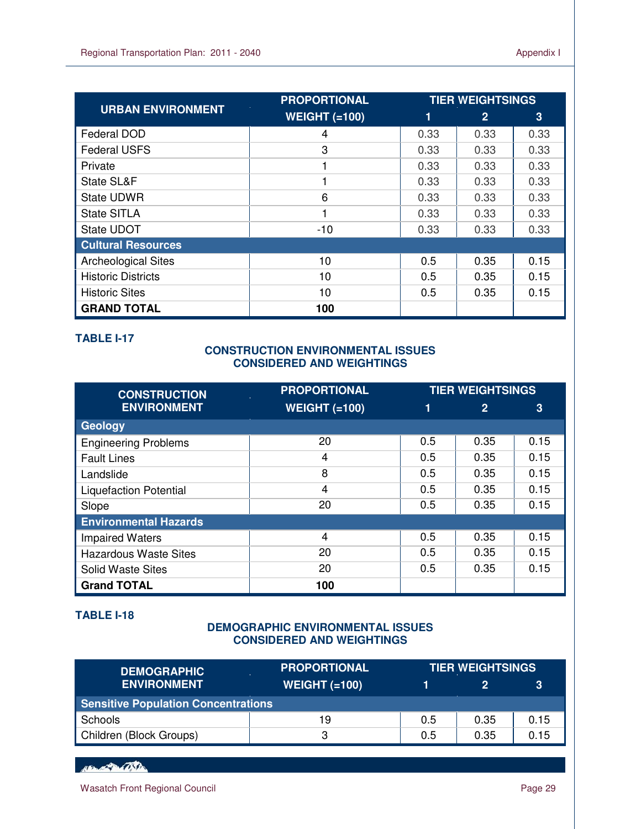|                            | <b>PROPORTIONAL</b>  | <b>TIER WEIGHTSINGS</b> |                |      |  |
|----------------------------|----------------------|-------------------------|----------------|------|--|
| <b>URBAN ENVIRONMENT</b>   | <b>WEIGHT (=100)</b> | 1                       | $\overline{2}$ | 3    |  |
| Federal DOD                | 4                    | 0.33                    | 0.33           | 0.33 |  |
| <b>Federal USFS</b>        | 3                    | 0.33                    | 0.33           | 0.33 |  |
| Private                    |                      | 0.33                    | 0.33           | 0.33 |  |
| State SL&F                 |                      | 0.33                    | 0.33           | 0.33 |  |
| <b>State UDWR</b>          | 6                    | 0.33                    | 0.33           | 0.33 |  |
| <b>State SITLA</b>         | 1                    | 0.33                    | 0.33           | 0.33 |  |
| State UDOT                 | $-10$                | 0.33                    | 0.33           | 0.33 |  |
| <b>Cultural Resources</b>  |                      |                         |                |      |  |
| <b>Archeological Sites</b> | 10                   | 0.5                     | 0.35           | 0.15 |  |
| <b>Historic Districts</b>  | 10                   | 0.5                     | 0.35           | 0.15 |  |
| <b>Historic Sites</b>      | 10                   | 0.5                     | 0.35           | 0.15 |  |
| <b>GRAND TOTAL</b>         | 100                  |                         |                |      |  |

## **TABLE I-17**

L

## **CONSTRUCTION ENVIRONMENTAL ISSUES CONSIDERED AND WEIGHTINGS**

| <b>CONSTRUCTION</b>           | <b>PROPORTIONAL</b>  | <b>TIER WEIGHTSINGS</b> |              |      |
|-------------------------------|----------------------|-------------------------|--------------|------|
| <b>ENVIRONMENT</b>            | <b>WEIGHT (=100)</b> | 1                       | $\mathbf{2}$ | 3    |
| Geology                       |                      |                         |              |      |
| <b>Engineering Problems</b>   | 20                   | 0.5                     | 0.35         | 0.15 |
| <b>Fault Lines</b>            | 4                    | 0.5                     | 0.35         | 0.15 |
| Landslide                     | 8                    | 0.5                     | 0.35         | 0.15 |
| <b>Liquefaction Potential</b> | 4                    | 0.5                     | 0.35         | 0.15 |
| Slope                         | 20                   | 0.5                     | 0.35         | 0.15 |
| <b>Environmental Hazards</b>  |                      |                         |              |      |
| <b>Impaired Waters</b>        | 4                    | 0.5                     | 0.35         | 0.15 |
| <b>Hazardous Waste Sites</b>  | 20                   | 0.5                     | 0.35         | 0.15 |
| <b>Solid Waste Sites</b>      | 20                   | 0.5                     | 0.35         | 0.15 |
| <b>Grand TOTAL</b>            | 100                  |                         |              |      |

## **TABLE I-18**

## **DEMOGRAPHIC ENVIRONMENTAL ISSUES CONSIDERED AND WEIGHTINGS**

| <b>DEMOGRAPHIC</b>                         | <b>PROPORTIONAL</b> | <b>TIER WEIGHTSINGS</b> |      |      |  |
|--------------------------------------------|---------------------|-------------------------|------|------|--|
| <b>ENVIRONMENT</b>                         | WEIGHT $(=100)$     |                         |      | 3    |  |
| <b>Sensitive Population Concentrations</b> |                     |                         |      |      |  |
| Schools                                    | 19                  | 0.5                     | 0.35 | 0.15 |  |
| Children (Block Groups)                    | 3                   | 0.5                     | 0.35 | 0.15 |  |

HELLED COSTS

Wasatch Front Regional Council **Page 29** Page 29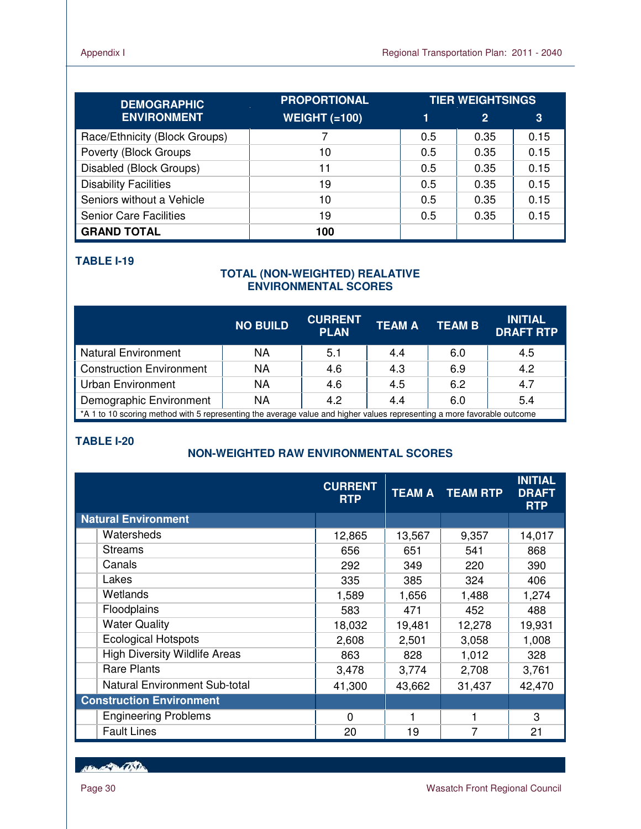| <b>DEMOGRAPHIC</b>            | <b>PROPORTIONAL</b>  | <b>TIER WEIGHTSINGS</b> |                |      |
|-------------------------------|----------------------|-------------------------|----------------|------|
| <b>ENVIRONMENT</b>            | <b>WEIGHT (=100)</b> |                         | $\overline{2}$ | 3    |
| Race/Ethnicity (Block Groups) |                      | 0.5                     | 0.35           | 0.15 |
| Poverty (Block Groups         | 10                   | 0.5                     | 0.35           | 0.15 |
| Disabled (Block Groups)       | 11                   | 0.5                     | 0.35           | 0.15 |
| <b>Disability Facilities</b>  | 19                   | 0.5                     | 0.35           | 0.15 |
| Seniors without a Vehicle     | 10                   | 0.5                     | 0.35           | 0.15 |
| <b>Senior Care Facilities</b> | 19                   | 0.5                     | 0.35           | 0.15 |
| <b>GRAND TOTAL</b>            | 100                  |                         |                |      |

## **TABLE I-19**

## **TOTAL (NON-WEIGHTED) REALATIVE ENVIRONMENTAL SCORES**

|                                                                                                                         | <b>NO BUILD</b> | <b>CURRENT</b><br><b>PLAN</b> | <b>TEAM A</b> | <b>TEAM B</b> | <b>INITIAL</b><br><b>DRAFT RTP</b> |  |  |
|-------------------------------------------------------------------------------------------------------------------------|-----------------|-------------------------------|---------------|---------------|------------------------------------|--|--|
| <b>Natural Environment</b>                                                                                              | <b>NA</b>       | 5.1                           | 4.4           | 6.0           | 4.5                                |  |  |
| <b>Construction Environment</b>                                                                                         | <b>NA</b>       | 4.6                           | 4.3           | 6.9           | 4.2                                |  |  |
| <b>Urban Environment</b>                                                                                                | <b>NA</b>       | 4.6                           | 4.5           | 6.2           | 4.7                                |  |  |
| Demographic Environment                                                                                                 | <b>NA</b>       | 4.2                           | 4.4           | 6.0           | 5.4                                |  |  |
| *A 1 to 10 scoring method with 5 representing the average value and higher values representing a more favorable outcome |                 |                               |               |               |                                    |  |  |

## **TABLE I-20**

## **NON-WEIGHTED RAW ENVIRONMENTAL SCORES**

|                                      | <b>CURRENT</b><br><b>RTP</b> |        | <b>TEAM A TEAM RTP</b> | <b>INITIAL</b><br><b>DRAFT</b><br><b>RTP</b> |
|--------------------------------------|------------------------------|--------|------------------------|----------------------------------------------|
| <b>Natural Environment</b>           |                              |        |                        |                                              |
| Watersheds                           | 12,865                       | 13,567 | 9,357                  | 14,017                                       |
| <b>Streams</b>                       | 656                          | 651    | 541                    | 868                                          |
| Canals                               | 292                          | 349    | 220                    | 390                                          |
| Lakes                                | 335                          | 385    | 324                    | 406                                          |
| Wetlands                             | 1,589                        | 1,656  | 1,488                  | 1,274                                        |
| Floodplains                          | 583                          | 471    | 452                    | 488                                          |
| <b>Water Quality</b>                 | 18,032                       | 19,481 | 12,278                 | 19,931                                       |
| <b>Ecological Hotspots</b>           | 2,608                        | 2,501  | 3,058                  | 1,008                                        |
| <b>High Diversity Wildlife Areas</b> | 863                          | 828    | 1,012                  | 328                                          |
| <b>Rare Plants</b>                   | 3,478                        | 3,774  | 2,708                  | 3,761                                        |
| Natural Environment Sub-total        | 41,300                       | 43,662 | 31,437                 | 42,470                                       |
| <b>Construction Environment</b>      |                              |        |                        |                                              |
| <b>Engineering Problems</b>          | $\Omega$                     | 1      |                        | 3                                            |
| <b>Fault Lines</b>                   | 20                           | 19     | 7                      | 21                                           |

New Partition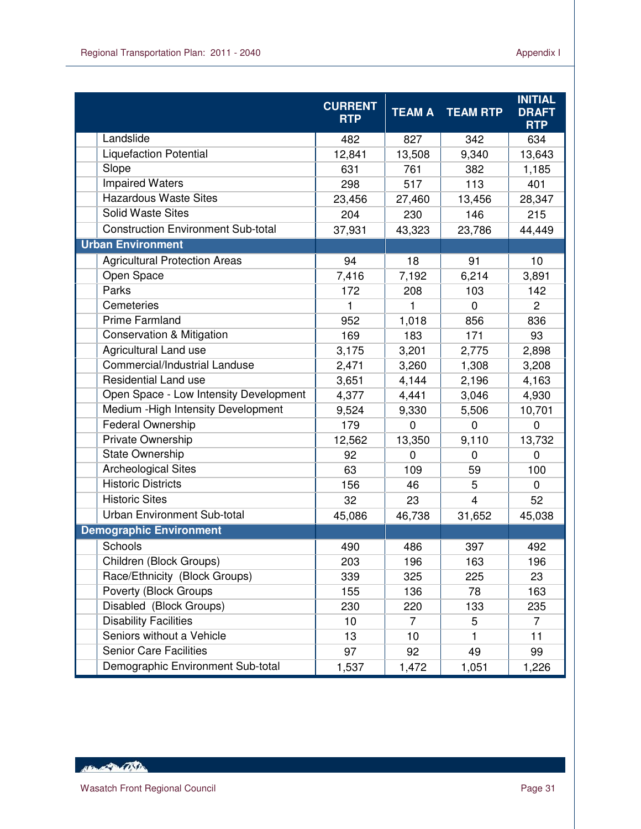|                                           | <b>CURRENT</b> | <b>TEAM A</b>  | <b>TEAM RTP</b> | <b>INITIAL</b><br><b>DRAFT</b> |
|-------------------------------------------|----------------|----------------|-----------------|--------------------------------|
|                                           | <b>RTP</b>     |                |                 | <b>RTP</b>                     |
| Landslide                                 | 482            | 827            | 342             | 634                            |
| <b>Liquefaction Potential</b>             | 12,841         | 13,508         | 9,340           | 13,643                         |
| Slope                                     | 631            | 761            | 382             | 1,185                          |
| <b>Impaired Waters</b>                    | 298            | 517            | 113             | 401                            |
| <b>Hazardous Waste Sites</b>              | 23,456         | 27,460         | 13,456          | 28,347                         |
| <b>Solid Waste Sites</b>                  | 204            | 230            | 146             | 215                            |
| <b>Construction Environment Sub-total</b> | 37,931         | 43,323         | 23,786          | 44,449                         |
| <b>Urban Environment</b>                  |                |                |                 |                                |
| <b>Agricultural Protection Areas</b>      | 94             | 18             | 91              | 10                             |
| Open Space                                | 7,416          | 7,192          | 6,214           | 3,891                          |
| Parks                                     | 172            | 208            | 103             | 142                            |
| Cemeteries                                | 1              | 1              | $\Omega$        | $\overline{2}$                 |
| <b>Prime Farmland</b>                     | 952            | 1,018          | 856             | 836                            |
| <b>Conservation &amp; Mitigation</b>      | 169            | 183            | 171             | 93                             |
| Agricultural Land use                     | 3,175          | 3,201          | 2,775           | 2,898                          |
| Commercial/Industrial Landuse             | 2,471          | 3,260          | 1,308           | 3,208                          |
| <b>Residential Land use</b>               | 3,651          | 4,144          | 2,196           | 4,163                          |
| Open Space - Low Intensity Development    | 4,377          | 4,441          | 3,046           | 4,930                          |
| Medium - High Intensity Development       | 9,524          | 9,330          | 5,506           | 10,701                         |
| <b>Federal Ownership</b>                  | 179            | $\overline{0}$ | $\mathbf 0$     | $\mathbf 0$                    |
| Private Ownership                         | 12,562         | 13,350         | 9,110           | 13,732                         |
| <b>State Ownership</b>                    | 92             | $\Omega$       | $\Omega$        | $\Omega$                       |
| <b>Archeological Sites</b>                | 63             | 109            | 59              | 100                            |
| <b>Historic Districts</b>                 | 156            | 46             | 5               | $\mathbf 0$                    |
| <b>Historic Sites</b>                     | 32             | 23             | $\overline{4}$  | 52                             |
| Urban Environment Sub-total               | 45,086         | 46,738         | 31,652          | 45,038                         |
| <b>Demographic Environment</b>            |                |                |                 |                                |
| Schools                                   | 490            | 486            | 397             | 492                            |
| Children (Block Groups)                   | 203            | 196            | 163             | 196                            |
| Race/Ethnicity (Block Groups)             | 339            | 325            | 225             | 23                             |
| Poverty (Block Groups                     | 155            | 136            | 78              | 163                            |
| Disabled (Block Groups)                   | 230            | 220            | 133             | 235                            |
| <b>Disability Facilities</b>              | 10             | 7              | 5               | 7                              |
| Seniors without a Vehicle                 | 13             | 10             | $\mathbf{1}$    | 11                             |
| <b>Senior Care Facilities</b>             | 97             | 92             | 49              | 99                             |
| Demographic Environment Sub-total         | 1,537          | 1,472          | 1,051           | 1,226                          |

HELL OF THE CONTROL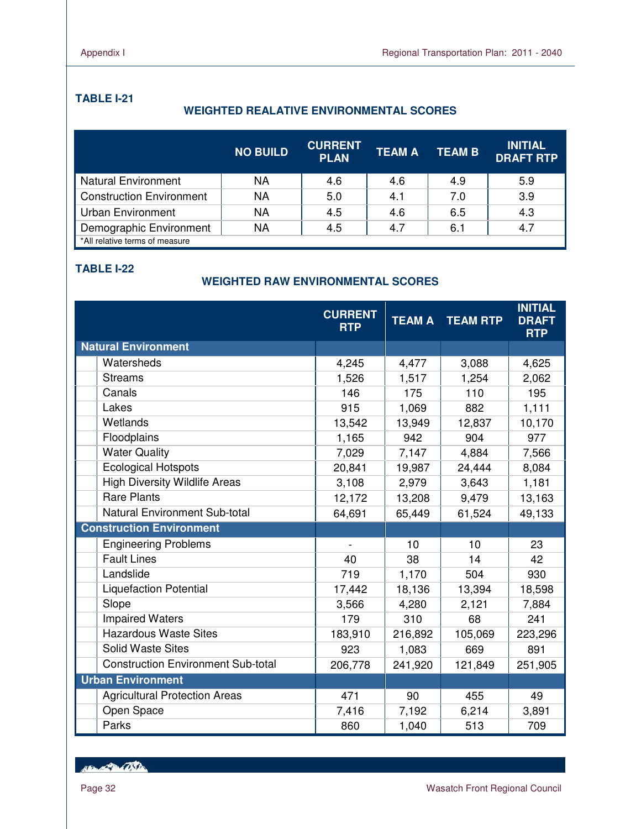## **TABLE I-21**

## **WEIGHTED REALATIVE ENVIRONMENTAL SCORES**

|                                 | <b>NO BUILD</b> | <b>CURRENT</b><br><b>PLAN</b> | <b>TEAM A</b> | <b>TEAM B</b> | <b>INITIAL</b><br><b>DRAFT RTP</b> |
|---------------------------------|-----------------|-------------------------------|---------------|---------------|------------------------------------|
| <b>Natural Environment</b>      | NA              | 4.6                           | 4.6           | 4.9           | 5.9                                |
| <b>Construction Environment</b> | NA              | 5.0                           | 4.1           | 7.0           | 3.9                                |
| <b>Urban Environment</b>        | NA              | 4.5                           | 4.6           | 6.5           | 4.3                                |
| Demographic Environment         | NA              | 4.5                           | 4.7           | 6.1           | 4.7                                |
| *All relative terms of measure  |                 |                               |               |               |                                    |

## **TABLE I-22**

## **WEIGHTED RAW ENVIRONMENTAL SCORES**

|                                           | <b>CURRENT</b><br><b>RTP</b> | <b>TEAM A</b> | <b>TEAM RTP</b> | <b>INITIAL</b><br><b>DRAFT</b><br><b>RTP</b> |
|-------------------------------------------|------------------------------|---------------|-----------------|----------------------------------------------|
| <b>Natural Environment</b>                |                              |               |                 |                                              |
| Watersheds                                | 4,245                        | 4,477         | 3,088           | 4,625                                        |
| <b>Streams</b>                            | 1,526                        | 1,517         | 1,254           | 2,062                                        |
| Canals                                    | 146                          | 175           | 110             | 195                                          |
| Lakes                                     | 915                          | 1,069         | 882             | 1,111                                        |
| Wetlands                                  | 13,542                       | 13,949        | 12,837          | 10,170                                       |
| Floodplains                               | 1,165                        | 942           | 904             | 977                                          |
| <b>Water Quality</b>                      | 7,029                        | 7,147         | 4,884           | 7,566                                        |
| <b>Ecological Hotspots</b>                | 20,841                       | 19,987        | 24,444          | 8,084                                        |
| <b>High Diversity Wildlife Areas</b>      | 3,108                        | 2,979         | 3,643           | 1,181                                        |
| <b>Rare Plants</b>                        | 12,172                       | 13,208        | 9,479           | 13,163                                       |
| <b>Natural Environment Sub-total</b>      | 64,691                       | 65,449        | 61,524          | 49,133                                       |
| <b>Construction Environment</b>           |                              |               |                 |                                              |
| <b>Engineering Problems</b>               | $\blacksquare$               | 10            | 10              | 23                                           |
| <b>Fault Lines</b>                        | 40                           | 38            | 14              | 42                                           |
| Landslide                                 | 719                          | 1,170         | 504             | 930                                          |
| <b>Liquefaction Potential</b>             | 17,442                       | 18,136        | 13,394          | 18,598                                       |
| Slope                                     | 3,566                        | 4,280         | 2,121           | 7,884                                        |
| <b>Impaired Waters</b>                    | 179                          | 310           | 68              | 241                                          |
| <b>Hazardous Waste Sites</b>              | 183,910                      | 216,892       | 105,069         | 223,296                                      |
| <b>Solid Waste Sites</b>                  | 923                          | 1,083         | 669             | 891                                          |
| <b>Construction Environment Sub-total</b> | 206,778                      | 241,920       | 121,849         | 251,905                                      |
| <b>Urban Environment</b>                  |                              |               |                 |                                              |
| <b>Agricultural Protection Areas</b>      | 471                          | 90            | 455             | 49                                           |
| Open Space                                | 7,416                        | 7,192         | 6,214           | 3,891                                        |
| Parks                                     | 860                          | 1,040         | 513             | 709                                          |

Her Protector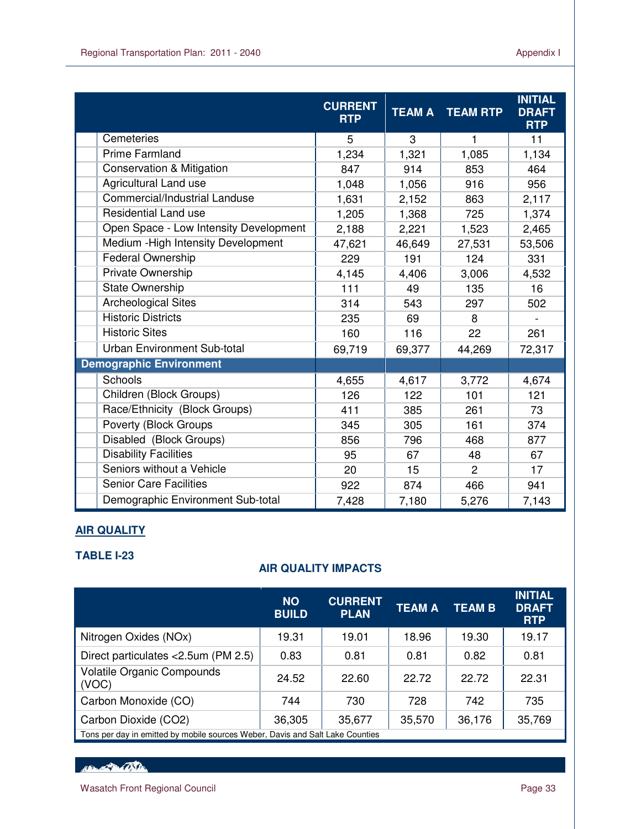|                                        | <b>CURRENT</b><br><b>RTP</b> | <b>TEAM A</b> | <b>TEAM RTP</b> | <b>INITIAL</b><br><b>DRAFT</b><br><b>RTP</b> |
|----------------------------------------|------------------------------|---------------|-----------------|----------------------------------------------|
| Cemeteries                             | 5                            | 3             | 1               | 11                                           |
| <b>Prime Farmland</b>                  | 1,234                        | 1,321         | 1,085           | 1,134                                        |
| <b>Conservation &amp; Mitigation</b>   | 847                          | 914           | 853             | 464                                          |
| Agricultural Land use                  | 1,048                        | 1,056         | 916             | 956                                          |
| Commercial/Industrial Landuse          | 1,631                        | 2,152         | 863             | 2,117                                        |
| <b>Residential Land use</b>            | 1,205                        | 1,368         | 725             | 1,374                                        |
| Open Space - Low Intensity Development | 2,188                        | 2,221         | 1,523           | 2,465                                        |
| Medium - High Intensity Development    | 47,621                       | 46,649        | 27,531          | 53,506                                       |
| Federal Ownership                      | 229                          | 191           | 124             | 331                                          |
| Private Ownership                      | 4,145                        | 4,406         | 3,006           | 4,532                                        |
| State Ownership                        | $111$                        | 49            | 135             | 16                                           |
| <b>Archeological Sites</b>             | 314                          | 543           | 297             | 502                                          |
| <b>Historic Districts</b>              | 235                          | 69            | 8               |                                              |
| <b>Historic Sites</b>                  | 160                          | 116           | 22              | 261                                          |
| Urban Environment Sub-total            | 69,719                       | 69,377        | 44,269          | 72,317                                       |
| <b>Demographic Environment</b>         |                              |               |                 |                                              |
| Schools                                | 4,655                        | 4,617         | 3,772           | 4,674                                        |
| Children (Block Groups)                | 126                          | 122           | 101             | 121                                          |
| Race/Ethnicity (Block Groups)          | 411                          | 385           | 261             | 73                                           |
| Poverty (Block Groups                  | 345                          | 305           | 161             | 374                                          |
| Disabled (Block Groups)                | 856                          | 796           | 468             | 877                                          |
| <b>Disability Facilities</b>           | 95                           | 67            | 48              | 67                                           |
| Seniors without a Vehicle              | 20                           | 15            | $\overline{2}$  | 17                                           |
| <b>Senior Care Facilities</b>          | 922                          | 874           | 466             | 941                                          |
| Demographic Environment Sub-total      | 7,428                        | 7,180         | 5,276           | 7,143                                        |

## **AIR QUALITY**

## **TABLE I-23**

## **AIR QUALITY IMPACTS**

|                                                                               | <b>NO</b><br><b>BUILD</b> | <b>CURRENT</b><br><b>PLAN</b> | <b>TEAM A</b> | <b>TEAM B</b> | <b>INITIAL</b><br><b>DRAFT</b><br><b>RTP</b> |  |  |
|-------------------------------------------------------------------------------|---------------------------|-------------------------------|---------------|---------------|----------------------------------------------|--|--|
| Nitrogen Oxides (NOx)                                                         | 19.31                     | 19.01                         | 18.96         | 19.30         | 19.17                                        |  |  |
| Direct particulates <2.5um (PM 2.5)                                           | 0.83                      | 0.81                          | 0.81          | 0.82          | 0.81                                         |  |  |
| <b>Volatile Organic Compounds</b><br>(VOC)                                    | 24.52                     | 22.60                         | 22.72         | 22.72         | 22.31                                        |  |  |
| Carbon Monoxide (CO)                                                          | 744                       | 730                           | 728           | 742           | 735                                          |  |  |
| Carbon Dioxide (CO2)                                                          | 36,305                    | 35,677                        | 35,570        | 36,176        | 35,769                                       |  |  |
| Tons per day in emitted by mobile sources Weber, Davis and Salt Lake Counties |                           |                               |               |               |                                              |  |  |